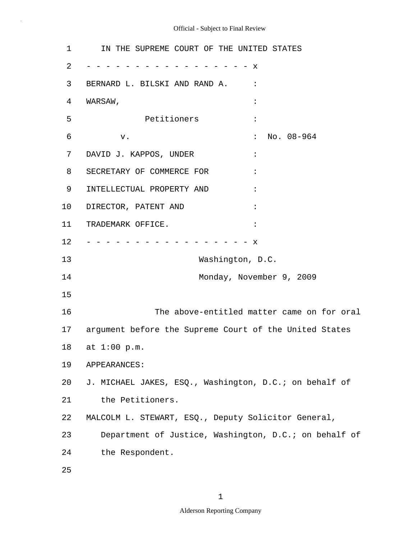1 2 3 4 5 6 7 8 9 10 11 12 13 14 15 16 17 18 19 20 21 22 23 24 25 IN THE SUPREME COURT OF THE UNITED STATES - - - - - - - - - - - - - - - - - x BERNARD L. BILSKI AND RAND A. : WARSAW, : Petitioners : v. No. 08-964 DAVID J. KAPPOS, UNDER : SECRETARY OF COMMERCE FOR : INTELLECTUAL PROPERTY AND : DIRECTOR, PATENT AND : TRADEMARK OFFICE. - - - - - - - - - - - - - - - - - x Washington, D.C. Monday, November 9, 2009 The above-entitled matter came on for oral argument before the Supreme Court of the United States at 1:00 p.m. APPEARANCES: J. MICHAEL JAKES, ESQ., Washington, D.C.; on behalf of the Petitioners. MALCOLM L. STEWART, ESQ., Deputy Solicitor General, Department of Justice, Washington, D.C.; on behalf of the Respondent.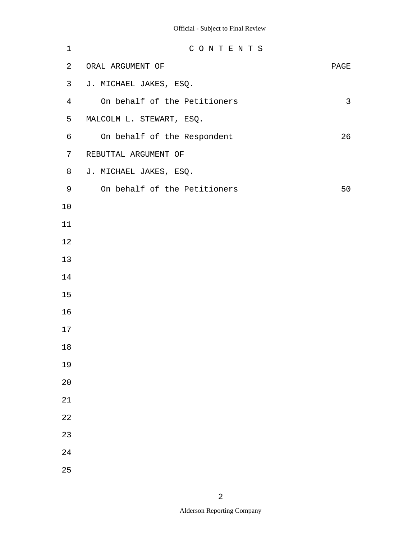| $\mathbf 1$    | CONTENTS                     |      |
|----------------|------------------------------|------|
| $\overline{a}$ | ORAL ARGUMENT OF             | PAGE |
| 3              | J. MICHAEL JAKES, ESQ.       |      |
| $\overline{4}$ | On behalf of the Petitioners | 3    |
| 5              | MALCOLM L. STEWART, ESQ.     |      |
| 6              | On behalf of the Respondent  | 26   |
| 7              | REBUTTAL ARGUMENT OF         |      |
| 8              | J. MICHAEL JAKES, ESQ.       |      |
| 9              | On behalf of the Petitioners | 50   |
| 10             |                              |      |
| 11             |                              |      |
| 12             |                              |      |
| 13             |                              |      |
| 14             |                              |      |
| 15             |                              |      |
| 16             |                              |      |
| 17             |                              |      |
| 18             |                              |      |
| 19             |                              |      |
| 20             |                              |      |
| 21             |                              |      |
| 22             |                              |      |
| 23             |                              |      |
| 24             |                              |      |
| 25             |                              |      |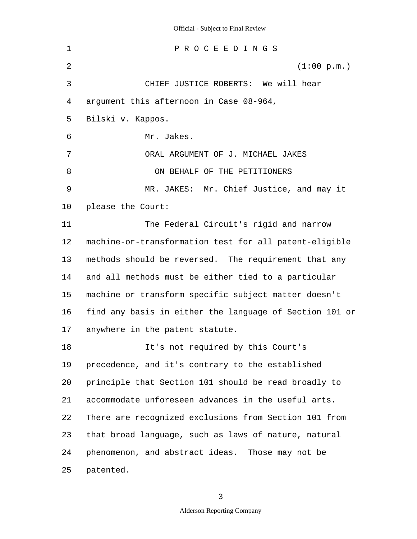1 2 3 4 5 6 7 8 9 10 11 12 13 14 15 16 17 18 19 20 21 22 23 24 25 P R O C E E D I N G S (1:00 p.m.) CHIEF JUSTICE ROBERTS: We will hear argument this afternoon in Case 08-964, Bilski v. Kappos. Mr. Jakes. ORAL ARGUMENT OF J. MICHAEL JAKES ON BEHALF OF THE PETITIONERS MR. JAKES: Mr. Chief Justice, and may it please the Court: The Federal Circuit's rigid and narrow machine-or-transformation test for all patent-eligible methods should be reversed. The requirement that any and all methods must be either tied to a particular machine or transform specific subject matter doesn't find any basis in either the language of Section 101 or anywhere in the patent statute. It's not required by this Court's precedence, and it's contrary to the established principle that Section 101 should be read broadly to accommodate unforeseen advances in the useful arts. There are recognized exclusions from Section 101 from that broad language, such as laws of nature, natural phenomenon, and abstract ideas. Those may not be patented.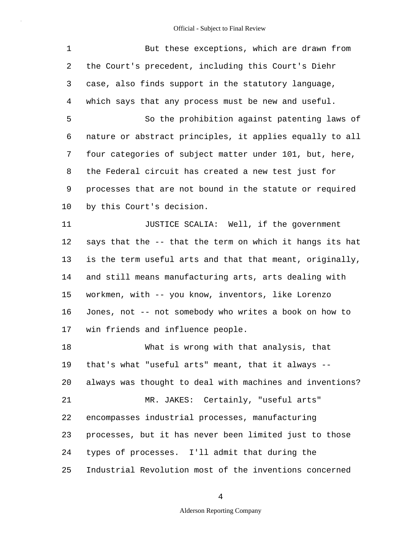| $\mathbf{1}$ | But these exceptions, which are drawn from               |
|--------------|----------------------------------------------------------|
| 2            | the Court's precedent, including this Court's Diehr      |
| 3            | case, also finds support in the statutory language,      |
| 4            | which says that any process must be new and useful.      |
| 5            | So the prohibition against patenting laws of             |
| 6            | nature or abstract principles, it applies equally to all |
| 7            | four categories of subject matter under 101, but, here,  |
| 8            | the Federal circuit has created a new test just for      |
| 9            | processes that are not bound in the statute or required  |
| 10           | by this Court's decision.                                |
| 11           | JUSTICE SCALIA: Well, if the government                  |
| 12           | says that the -- that the term on which it hangs its hat |
| 13           | is the term useful arts and that that meant, originally, |
| 14           | and still means manufacturing arts, arts dealing with    |
| 15           | workmen, with -- you know, inventors, like Lorenzo       |
| 16           | Jones, not -- not somebody who writes a book on how to   |
| 17           | win friends and influence people.                        |
| 18           | What is wrong with that analysis, that                   |
| 19           | that's what "useful arts" meant, that it always --       |
| 20           | always was thought to deal with machines and inventions? |
| 21           | MR. JAKES: Certainly, "useful arts"                      |
| 22           | encompasses industrial processes, manufacturing          |
| 23           | processes, but it has never been limited just to those   |
| 24           | types of processes. I'll admit that during the           |
| 25           | Industrial Revolution most of the inventions concerned   |

4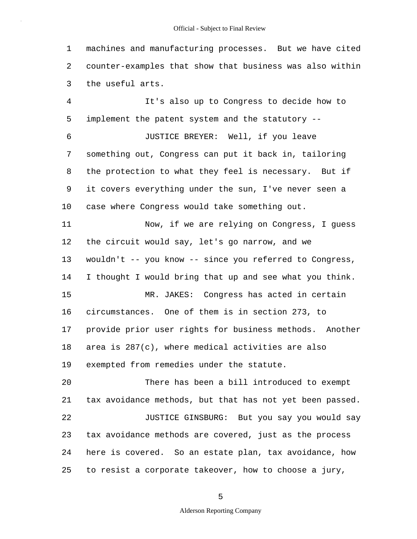1 2 3 machines and manufacturing processes. But we have cited counter-examples that show that business was also within the useful arts.

4 5 6 7 8 9 10 11 12 13 14 15 16 17 18 19 20 21 It's also up to Congress to decide how to implement the patent system and the statutory -- JUSTICE BREYER: Well, if you leave something out, Congress can put it back in, tailoring the protection to what they feel is necessary. But if it covers everything under the sun, I've never seen a case where Congress would take something out. Now, if we are relying on Congress, I guess the circuit would say, let's go narrow, and we wouldn't -- you know -- since you referred to Congress, I thought I would bring that up and see what you think. MR. JAKES: Congress has acted in certain circumstances. One of them is in section 273, to provide prior user rights for business methods. Another area is 287(c), where medical activities are also exempted from remedies under the statute. There has been a bill introduced to exempt tax avoidance methods, but that has not yet been passed.

22 23 24 25 JUSTICE GINSBURG: But you say you would say tax avoidance methods are covered, just as the process here is covered. So an estate plan, tax avoidance, how to resist a corporate takeover, how to choose a jury,

5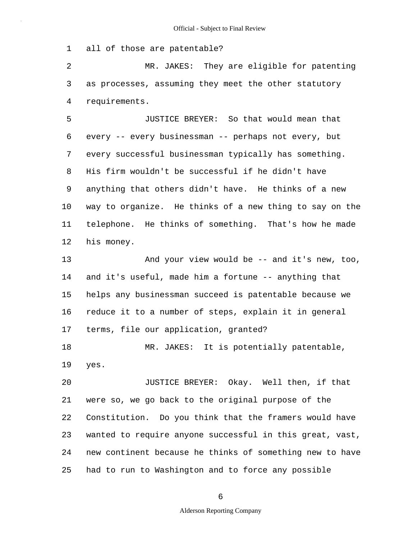1 all of those are patentable?

2 3 4 MR. JAKES: They are eligible for patenting as processes, assuming they meet the other statutory requirements.

5 6 7 8 9 10 11 12 JUSTICE BREYER: So that would mean that every -- every businessman -- perhaps not every, but every successful businessman typically has something. His firm wouldn't be successful if he didn't have anything that others didn't have. He thinks of a new way to organize. He thinks of a new thing to say on the telephone. He thinks of something. That's how he made his money.

13 14 15 16 17 18 And your view would be -- and it's new, too, and it's useful, made him a fortune -- anything that helps any businessman succeed is patentable because we reduce it to a number of steps, explain it in general terms, file our application, granted? MR. JAKES: It is potentially patentable,

19 yes.

20 21 22 23 24 25 JUSTICE BREYER: Okay. Well then, if that were so, we go back to the original purpose of the Constitution. Do you think that the framers would have wanted to require anyone successful in this great, vast, new continent because he thinks of something new to have had to run to Washington and to force any possible

6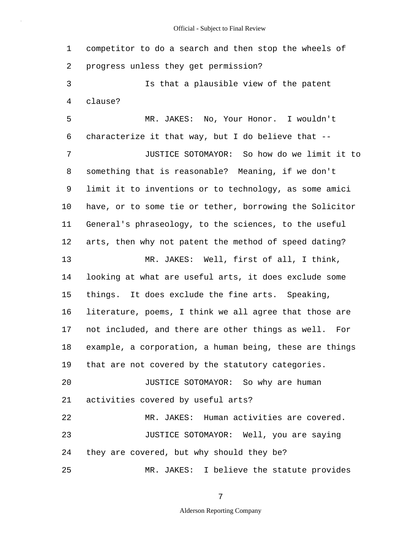1 2 3 4 5 6 7 8 9 10 11 12 13 14 15 16 17 18 19 20 21 22 23 24 25 competitor to do a search and then stop the wheels of progress unless they get permission? Is that a plausible view of the patent clause? MR. JAKES: No, Your Honor. I wouldn't characterize it that way, but I do believe that -- JUSTICE SOTOMAYOR: So how do we limit it to something that is reasonable? Meaning, if we don't limit it to inventions or to technology, as some amici have, or to some tie or tether, borrowing the Solicitor General's phraseology, to the sciences, to the useful arts, then why not patent the method of speed dating? MR. JAKES: Well, first of all, I think, looking at what are useful arts, it does exclude some things. It does exclude the fine arts. Speaking, literature, poems, I think we all agree that those are not included, and there are other things as well. For example, a corporation, a human being, these are things that are not covered by the statutory categories. JUSTICE SOTOMAYOR: So why are human activities covered by useful arts? MR. JAKES: Human activities are covered. JUSTICE SOTOMAYOR: Well, you are saying they are covered, but why should they be? MR. JAKES: I believe the statute provides

7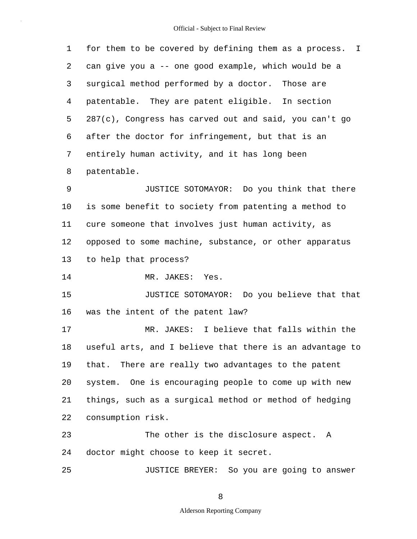1 2 3 4 5 6 7 8 for them to be covered by defining them as a process. I can give you a -- one good example, which would be a surgical method performed by a doctor. Those are patentable. They are patent eligible. In section 287(c), Congress has carved out and said, you can't go after the doctor for infringement, but that is an entirely human activity, and it has long been patentable.

9 10 11 12 13 JUSTICE SOTOMAYOR: Do you think that there is some benefit to society from patenting a method to cure someone that involves just human activity, as opposed to some machine, substance, or other apparatus to help that process?

14 MR. JAKES: Yes.

25

15 16 JUSTICE SOTOMAYOR: Do you believe that that was the intent of the patent law?

17 18 19 20 21 22 MR. JAKES: I believe that falls within the useful arts, and I believe that there is an advantage to that. There are really two advantages to the patent system. One is encouraging people to come up with new things, such as a surgical method or method of hedging consumption risk.

23 24 The other is the disclosure aspect. A doctor might choose to keep it secret.

JUSTICE BREYER: So you are going to answer

8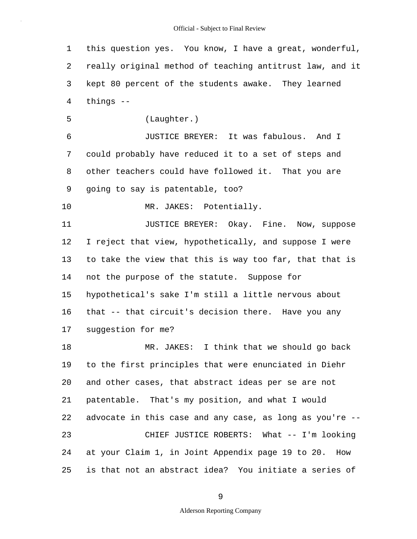1 2 3 4 5 6 7 8 9 10 11 12 13 14 15 16 17 18 19 20 21 22 23 24 25 this question yes. You know, I have a great, wonderful, really original method of teaching antitrust law, and it kept 80 percent of the students awake. They learned things -- (Laughter.) JUSTICE BREYER: It was fabulous. And I could probably have reduced it to a set of steps and other teachers could have followed it. That you are going to say is patentable, too? MR. JAKES: Potentially. JUSTICE BREYER: Okay. Fine. Now, suppose I reject that view, hypothetically, and suppose I were to take the view that this is way too far, that that is not the purpose of the statute. Suppose for hypothetical's sake I'm still a little nervous about that -- that circuit's decision there. Have you any suggestion for me? MR. JAKES: I think that we should go back to the first principles that were enunciated in Diehr and other cases, that abstract ideas per se are not patentable. That's my position, and what I would advocate in this case and any case, as long as you're -- CHIEF JUSTICE ROBERTS: What -- I'm looking at your Claim 1, in Joint Appendix page 19 to 20. How is that not an abstract idea? You initiate a series of

9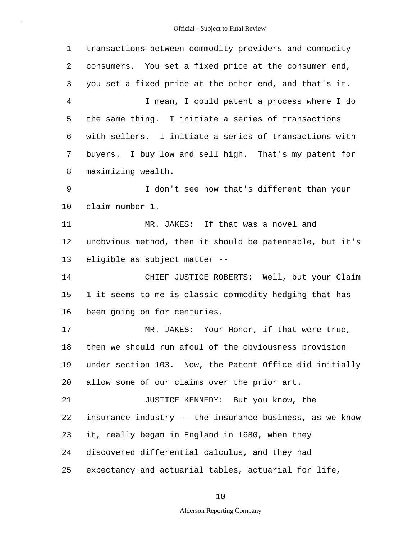1 2 3 4 5 6 7 8 9 10 11 12 13 14 15 16 17 18 19 20 21 22 23 24 25 transactions between commodity providers and commodity consumers. You set a fixed price at the consumer end, you set a fixed price at the other end, and that's it. I mean, I could patent a process where I do the same thing. I initiate a series of transactions with sellers. I initiate a series of transactions with buyers. I buy low and sell high. That's my patent for maximizing wealth. I don't see how that's different than your claim number 1. MR. JAKES: If that was a novel and unobvious method, then it should be patentable, but it's eligible as subject matter -- CHIEF JUSTICE ROBERTS: Well, but your Claim 1 it seems to me is classic commodity hedging that has been going on for centuries. MR. JAKES: Your Honor, if that were true, then we should run afoul of the obviousness provision under section 103. Now, the Patent Office did initially allow some of our claims over the prior art. JUSTICE KENNEDY: But you know, the insurance industry -- the insurance business, as we know it, really began in England in 1680, when they discovered differential calculus, and they had expectancy and actuarial tables, actuarial for life,

10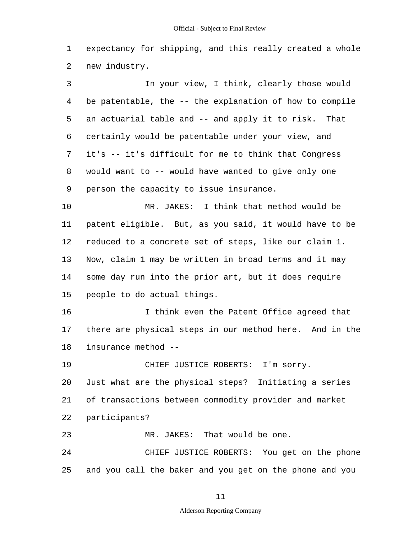1 2 expectancy for shipping, and this really created a whole new industry.

3 4 5 6 7 8 9 In your view, I think, clearly those would be patentable, the -- the explanation of how to compile an actuarial table and -- and apply it to risk. That certainly would be patentable under your view, and it's -- it's difficult for me to think that Congress would want to -- would have wanted to give only one person the capacity to issue insurance.

10 11 12 13 14 15 MR. JAKES: I think that method would be patent eligible. But, as you said, it would have to be reduced to a concrete set of steps, like our claim 1. Now, claim 1 may be written in broad terms and it may some day run into the prior art, but it does require people to do actual things.

16 17 18 I think even the Patent Office agreed that there are physical steps in our method here. And in the insurance method --

19 20 21 22 23 24 CHIEF JUSTICE ROBERTS: I'm sorry. Just what are the physical steps? Initiating a series of transactions between commodity provider and market participants? MR. JAKES: That would be one. CHIEF JUSTICE ROBERTS: You get on the phone

25 and you call the baker and you get on the phone and you

11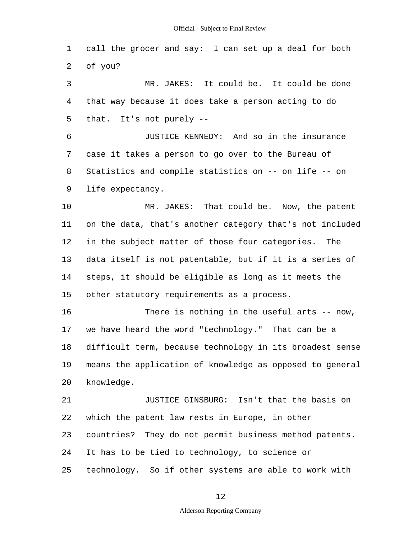1 2 call the grocer and say: I can set up a deal for both of you?

3 4 5 MR. JAKES: It could be. It could be done that way because it does take a person acting to do that. It's not purely --

6 7 8 9 JUSTICE KENNEDY: And so in the insurance case it takes a person to go over to the Bureau of Statistics and compile statistics on -- on life -- on life expectancy.

10 11 12 13 14 15 MR. JAKES: That could be. Now, the patent on the data, that's another category that's not included in the subject matter of those four categories. The data itself is not patentable, but if it is a series of steps, it should be eligible as long as it meets the other statutory requirements as a process.

16 17 18 19 20 There is nothing in the useful arts -- now, we have heard the word "technology." That can be a difficult term, because technology in its broadest sense means the application of knowledge as opposed to general knowledge.

21 22 23 24 25 JUSTICE GINSBURG: Isn't that the basis on which the patent law rests in Europe, in other countries? They do not permit business method patents. It has to be tied to technology, to science or technology. So if other systems are able to work with

12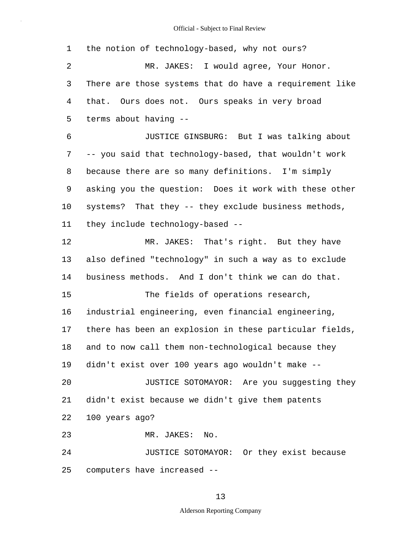1 2 3 4 5 6 7 8 9 10 11 12 13 14 15 16 17 18 19 20 21 22 23 24 25 the notion of technology-based, why not ours? MR. JAKES: I would agree, Your Honor. There are those systems that do have a requirement like that. Ours does not. Ours speaks in very broad terms about having -- JUSTICE GINSBURG: But I was talking about -- you said that technology-based, that wouldn't work because there are so many definitions. I'm simply asking you the question: Does it work with these other systems? That they -- they exclude business methods, they include technology-based -- MR. JAKES: That's right. But they have also defined "technology" in such a way as to exclude business methods. And I don't think we can do that. The fields of operations research, industrial engineering, even financial engineering, there has been an explosion in these particular fields, and to now call them non-technological because they didn't exist over 100 years ago wouldn't make -- JUSTICE SOTOMAYOR: Are you suggesting they didn't exist because we didn't give them patents 100 years ago? MR. JAKES: No. JUSTICE SOTOMAYOR: Or they exist because computers have increased --

13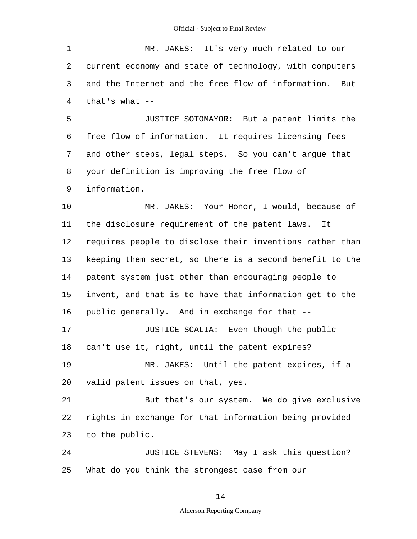1 2 3 4 5 6 7 8 9 10 11 12 13 14 15 16 17 18 19 20 21 22 23 24 25 MR. JAKES: It's very much related to our current economy and state of technology, with computers and the Internet and the free flow of information. But that's what -- JUSTICE SOTOMAYOR: But a patent limits the free flow of information. It requires licensing fees and other steps, legal steps. So you can't argue that your definition is improving the free flow of information. MR. JAKES: Your Honor, I would, because of the disclosure requirement of the patent laws. It requires people to disclose their inventions rather than keeping them secret, so there is a second benefit to the patent system just other than encouraging people to invent, and that is to have that information get to the public generally. And in exchange for that -- JUSTICE SCALIA: Even though the public can't use it, right, until the patent expires? MR. JAKES: Until the patent expires, if a valid patent issues on that, yes. But that's our system. We do give exclusive rights in exchange for that information being provided to the public. JUSTICE STEVENS: May I ask this question? What do you think the strongest case from our

14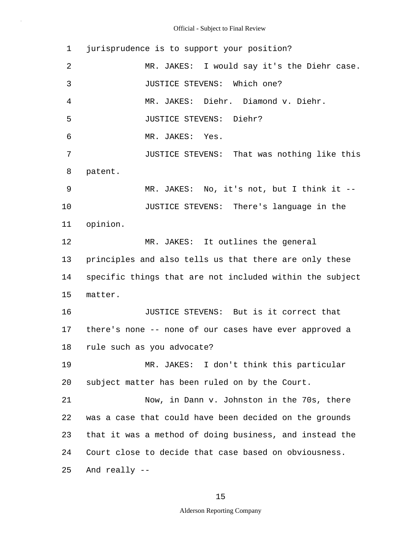1 2 3 4 5 6 7 8 9 10 11 12 13 14 15 16 17 18 19 20 21 22 23 24 25 jurisprudence is to support your position? MR. JAKES: I would say it's the Diehr case. JUSTICE STEVENS: Which one? MR. JAKES: Diehr. Diamond v. Diehr. JUSTICE STEVENS: Diehr? MR. JAKES: Yes. JUSTICE STEVENS: That was nothing like this patent. MR. JAKES: No, it's not, but I think it -- JUSTICE STEVENS: There's language in the opinion. MR. JAKES: It outlines the general principles and also tells us that there are only these specific things that are not included within the subject matter. JUSTICE STEVENS: But is it correct that there's none -- none of our cases have ever approved a rule such as you advocate? MR. JAKES: I don't think this particular subject matter has been ruled on by the Court. Now, in Dann v. Johnston in the 70s, there was a case that could have been decided on the grounds that it was a method of doing business, and instead the Court close to decide that case based on obviousness. And really --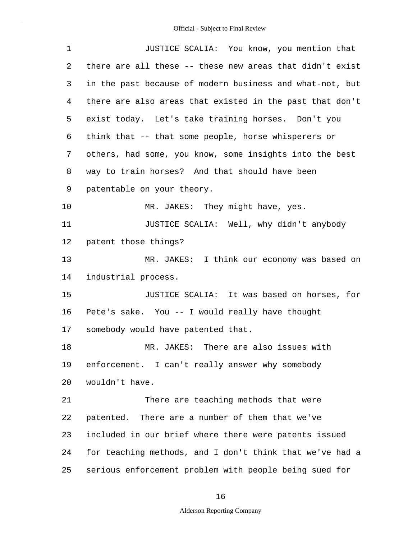| $\mathbf 1$ | JUSTICE SCALIA: You know, you mention that               |
|-------------|----------------------------------------------------------|
| 2           | there are all these -- these new areas that didn't exist |
| 3           | in the past because of modern business and what-not, but |
| 4           | there are also areas that existed in the past that don't |
| 5           | exist today. Let's take training horses. Don't you       |
| 6           | think that -- that some people, horse whisperers or      |
| 7           | others, had some, you know, some insights into the best  |
| 8           | way to train horses? And that should have been           |
| 9           | patentable on your theory.                               |
| 10          | MR. JAKES: They might have, yes.                         |
| 11          | JUSTICE SCALIA: Well, why didn't anybody                 |
| 12          | patent those things?                                     |
| 13          | MR. JAKES: I think our economy was based on              |
| 14          | industrial process.                                      |
| 15          | JUSTICE SCALIA: It was based on horses, for              |
| 16          | Pete's sake. You -- I would really have thought          |
| 17          | somebody would have patented that.                       |
| 18          | MR. JAKES: There are also issues with                    |
| 19          | enforcement. I can't really answer why somebody          |
| 20          | wouldn't have.                                           |
| 21          | There are teaching methods that were                     |
| 22          | patented. There are a number of them that we've          |
| 23          | included in our brief where there were patents issued    |
| 24          | for teaching methods, and I don't think that we've had a |
| 25          | serious enforcement problem with people being sued for   |

16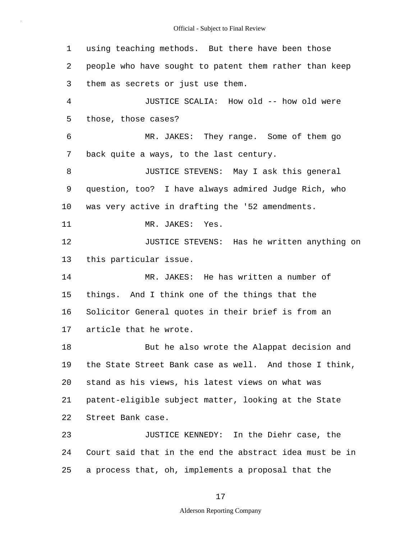1 2 3 4 5 6 7 8 9 10 11 12 13 14 15 16 17 18 19 20 21 22 23 24 25 using teaching methods. But there have been those people who have sought to patent them rather than keep them as secrets or just use them. JUSTICE SCALIA: How old -- how old were those, those cases? MR. JAKES: They range. Some of them go back quite a ways, to the last century. JUSTICE STEVENS: May I ask this general question, too? I have always admired Judge Rich, who was very active in drafting the '52 amendments. MR. JAKES: Yes. JUSTICE STEVENS: Has he written anything on this particular issue. MR. JAKES: He has written a number of things. And I think one of the things that the Solicitor General quotes in their brief is from an article that he wrote. But he also wrote the Alappat decision and the State Street Bank case as well. And those I think, stand as his views, his latest views on what was patent-eligible subject matter, looking at the State Street Bank case. JUSTICE KENNEDY: In the Diehr case, the Court said that in the end the abstract idea must be in a process that, oh, implements a proposal that the

17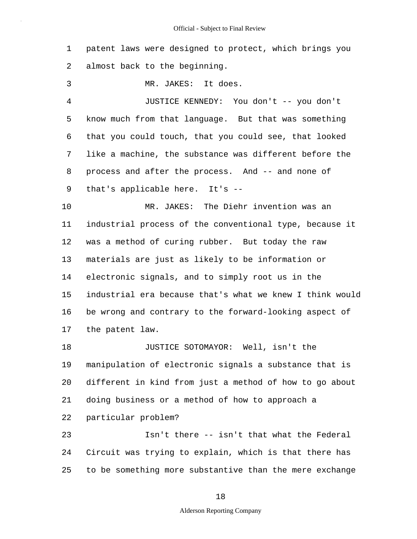1 2 patent laws were designed to protect, which brings you almost back to the beginning.

3 MR. JAKES: It does.

4 5 6 7 8 9 JUSTICE KENNEDY: You don't -- you don't know much from that language. But that was something that you could touch, that you could see, that looked like a machine, the substance was different before the process and after the process. And -- and none of that's applicable here. It's --

10 11 12 13 14 15 16 17 MR. JAKES: The Diehr invention was an industrial process of the conventional type, because it was a method of curing rubber. But today the raw materials are just as likely to be information or electronic signals, and to simply root us in the industrial era because that's what we knew I think would be wrong and contrary to the forward-looking aspect of the patent law.

18 19 20 21 22 JUSTICE SOTOMAYOR: Well, isn't the manipulation of electronic signals a substance that is different in kind from just a method of how to go about doing business or a method of how to approach a particular problem?

23 24 25 Isn't there -- isn't that what the Federal Circuit was trying to explain, which is that there has to be something more substantive than the mere exchange

### 18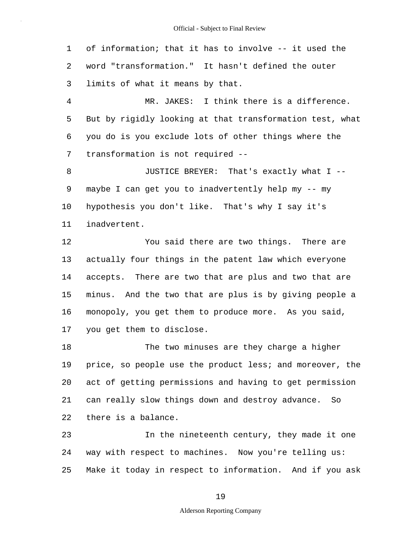1 2 3 4 5 6 of information; that it has to involve -- it used the word "transformation." It hasn't defined the outer limits of what it means by that. MR. JAKES: I think there is a difference. But by rigidly looking at that transformation test, what you do is you exclude lots of other things where the

7 transformation is not required --

8 9 10 11 JUSTICE BREYER: That's exactly what I - maybe I can get you to inadvertently help my -- my hypothesis you don't like. That's why I say it's inadvertent.

12 13 14 15 16 17 You said there are two things. There are actually four things in the patent law which everyone accepts. There are two that are plus and two that are minus. And the two that are plus is by giving people a monopoly, you get them to produce more. As you said, you get them to disclose.

18 19 20 21 22 The two minuses are they charge a higher price, so people use the product less; and moreover, the act of getting permissions and having to get permission can really slow things down and destroy advance. So there is a balance.

23 24 25 In the nineteenth century, they made it one way with respect to machines. Now you're telling us: Make it today in respect to information. And if you ask

19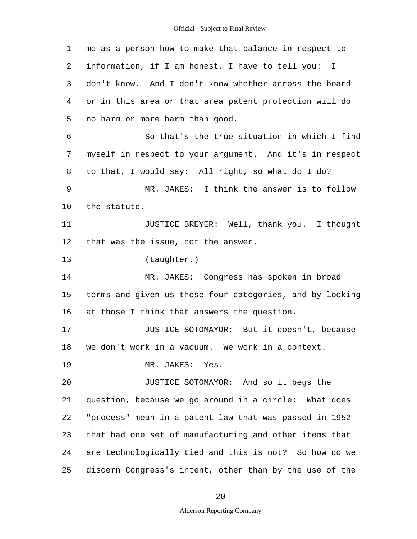1 2 3 4 5 6 7 8 9 10 11 12 13 14 15 16 17 18 19 20 21 22 23 24 25 me as a person how to make that balance in respect to information, if I am honest, I have to tell you: I don't know. And I don't know whether across the board or in this area or that area patent protection will do no harm or more harm than good. So that's the true situation in which I find myself in respect to your argument. And it's in respect to that, I would say: All right, so what do I do? MR. JAKES: I think the answer is to follow the statute. JUSTICE BREYER: Well, thank you. I thought that was the issue, not the answer. (Laughter.) MR. JAKES: Congress has spoken in broad terms and given us those four categories, and by looking at those I think that answers the question. JUSTICE SOTOMAYOR: But it doesn't, because we don't work in a vacuum. We work in a context. MR. JAKES: Yes. JUSTICE SOTOMAYOR: And so it begs the question, because we go around in a circle: What does "process" mean in a patent law that was passed in 1952 that had one set of manufacturing and other items that are technologically tied and this is not? So how do we discern Congress's intent, other than by the use of the

20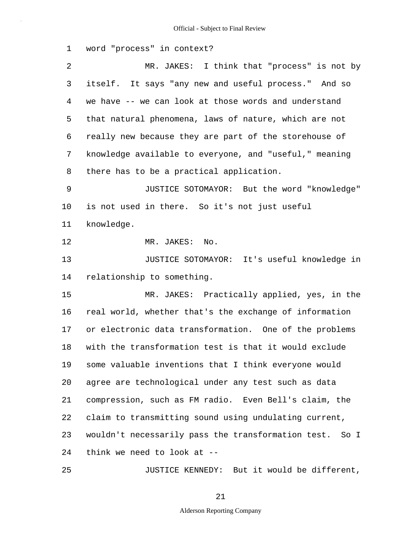1 2 3 4 5 6 7 8 9 10 11 12 13 14 15 16 17 18 19 20 21 22 23 24 25 word "process" in context? MR. JAKES: I think that "process" is not by itself. It says "any new and useful process." And so we have -- we can look at those words and understand that natural phenomena, laws of nature, which are not really new because they are part of the storehouse of knowledge available to everyone, and "useful," meaning there has to be a practical application. JUSTICE SOTOMAYOR: But the word "knowledge" is not used in there. So it's not just useful knowledge. MR. JAKES: No. JUSTICE SOTOMAYOR: It's useful knowledge in relationship to something. MR. JAKES: Practically applied, yes, in the real world, whether that's the exchange of information or electronic data transformation. One of the problems with the transformation test is that it would exclude some valuable inventions that I think everyone would agree are technological under any test such as data compression, such as FM radio. Even Bell's claim, the claim to transmitting sound using undulating current, wouldn't necessarily pass the transformation test. So I think we need to look at -- JUSTICE KENNEDY: But it would be different,

21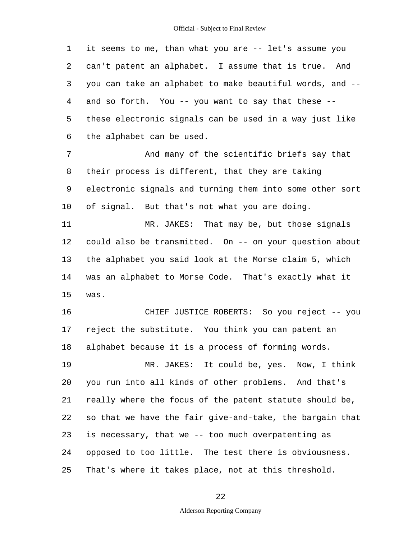1 2 3 4 5 6 it seems to me, than what you are -- let's assume you can't patent an alphabet. I assume that is true. And you can take an alphabet to make beautiful words, and - and so forth. You -- you want to say that these - these electronic signals can be used in a way just like the alphabet can be used.

7 8 9 10 And many of the scientific briefs say that their process is different, that they are taking electronic signals and turning them into some other sort of signal. But that's not what you are doing.

11 12 13 14 15 MR. JAKES: That may be, but those signals could also be transmitted. On -- on your question about the alphabet you said look at the Morse claim 5, which was an alphabet to Morse Code. That's exactly what it was.

16 17 18 CHIEF JUSTICE ROBERTS: So you reject -- you reject the substitute. You think you can patent an alphabet because it is a process of forming words.

19 20 21 22 23 24 25 MR. JAKES: It could be, yes. Now, I think you run into all kinds of other problems. And that's really where the focus of the patent statute should be, so that we have the fair give-and-take, the bargain that is necessary, that we -- too much overpatenting as opposed to too little. The test there is obviousness. That's where it takes place, not at this threshold.

22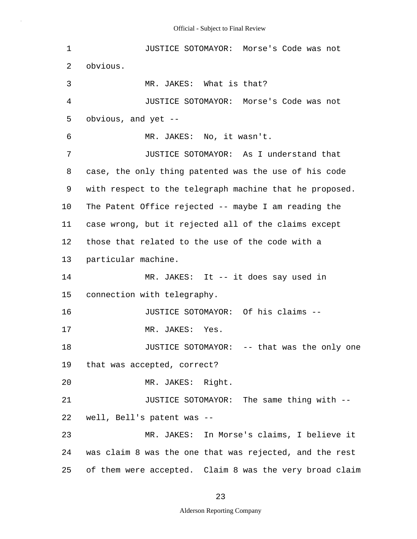| $\mathbf 1$ | JUSTICE SOTOMAYOR: Morse's Code was not                 |
|-------------|---------------------------------------------------------|
| 2           | obvious.                                                |
| 3           | MR. JAKES: What is that?                                |
| 4           | JUSTICE SOTOMAYOR: Morse's Code was not                 |
| 5           | obvious, and yet --                                     |
| 6           | MR. JAKES: No, it wasn't.                               |
| 7           | JUSTICE SOTOMAYOR: As I understand that                 |
| 8           | case, the only thing patented was the use of his code   |
| 9           | with respect to the telegraph machine that he proposed. |
| $10 \,$     | The Patent Office rejected -- maybe I am reading the    |
| 11          | case wrong, but it rejected all of the claims except    |
| 12          | those that related to the use of the code with a        |
| 13          | particular machine.                                     |
| 14          | MR. JAKES: It -- it does say used in                    |
| 15          | connection with telegraphy.                             |
| 16          | JUSTICE SOTOMAYOR: Of his claims --                     |
| 17          | MR. JAKES:<br>Yes.                                      |
| 18          | JUSTICE SOTOMAYOR: -- that was the only one             |
| 19          | that was accepted, correct?                             |
| 20          | MR. JAKES: Right.                                       |
| 21          | JUSTICE SOTOMAYOR: The same thing with --               |
| 22          | well, Bell's patent was --                              |
| 23          | MR. JAKES: In Morse's claims, I believe it              |
| 24          | was claim 8 was the one that was rejected, and the rest |
| 25          | of them were accepted. Claim 8 was the very broad claim |

# 23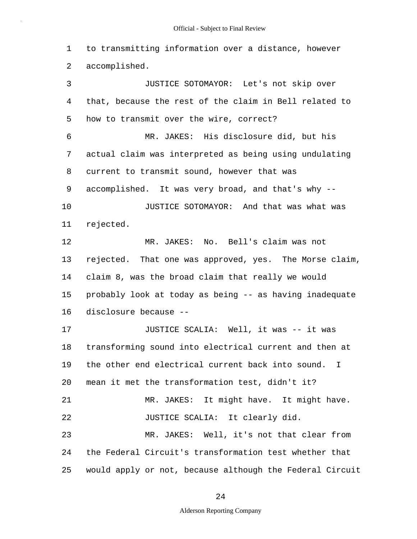1 2 3 4 to transmitting information over a distance, however accomplished. JUSTICE SOTOMAYOR: Let's not skip over that, because the rest of the claim in Bell related to

5 6 7 8 9 10 11 12 13 14 15 how to transmit over the wire, correct? MR. JAKES: His disclosure did, but his actual claim was interpreted as being using undulating current to transmit sound, however that was accomplished. It was very broad, and that's why -- JUSTICE SOTOMAYOR: And that was what was rejected. MR. JAKES: No. Bell's claim was not rejected. That one was approved, yes. The Morse claim, claim 8, was the broad claim that really we would probably look at today as being -- as having inadequate

16 disclosure because --

17 18 19 20 21 22 23 24 25 JUSTICE SCALIA: Well, it was -- it was transforming sound into electrical current and then at the other end electrical current back into sound. I mean it met the transformation test, didn't it? MR. JAKES: It might have. It might have. JUSTICE SCALIA: It clearly did. MR. JAKES: Well, it's not that clear from the Federal Circuit's transformation test whether that would apply or not, because although the Federal Circuit

### 24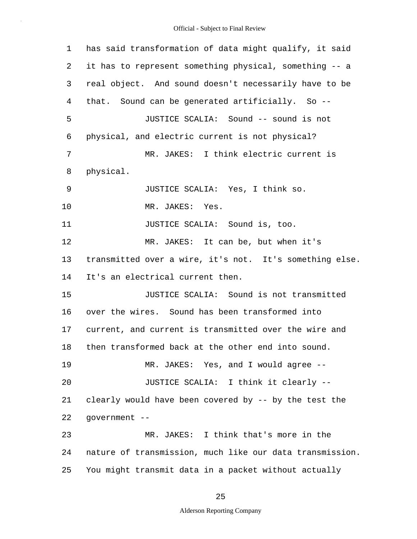1 2 3 4 5 6 7 8 9 10 11 12 13 14 15 16 17 18 19 20 21 22 23 24 25 has said transformation of data might qualify, it said it has to represent something physical, something -- a real object. And sound doesn't necessarily have to be that. Sound can be generated artificially. So -- JUSTICE SCALIA: Sound -- sound is not physical, and electric current is not physical? MR. JAKES: I think electric current is physical. JUSTICE SCALIA: Yes, I think so. MR. JAKES: Yes. JUSTICE SCALIA: Sound is, too. MR. JAKES: It can be, but when it's transmitted over a wire, it's not. It's something else. It's an electrical current then. JUSTICE SCALIA: Sound is not transmitted over the wires. Sound has been transformed into current, and current is transmitted over the wire and then transformed back at the other end into sound. MR. JAKES: Yes, and I would agree -- JUSTICE SCALIA: I think it clearly - clearly would have been covered by -- by the test the government -- MR. JAKES: I think that's more in the nature of transmission, much like our data transmission. You might transmit data in a packet without actually

25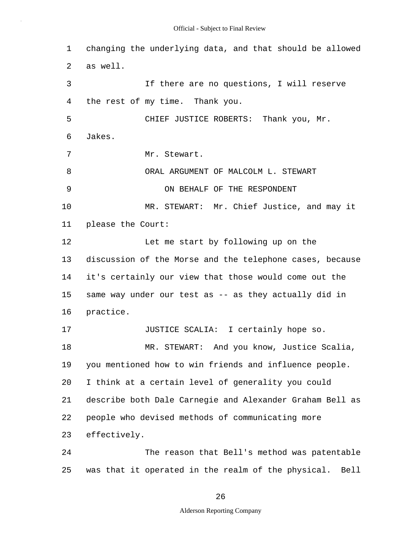1 2 3 4 5 6 7 8 9 10 11 12 13 14 15 16 17 18 19 20 21 22 23 24 changing the underlying data, and that should be allowed as well. If there are no questions, I will reserve the rest of my time. Thank you. CHIEF JUSTICE ROBERTS: Thank you, Mr. Jakes. Mr. Stewart. ORAL ARGUMENT OF MALCOLM L. STEWART ON BEHALF OF THE RESPONDENT MR. STEWART: Mr. Chief Justice, and may it please the Court: Let me start by following up on the discussion of the Morse and the telephone cases, because it's certainly our view that those would come out the same way under our test as -- as they actually did in practice. JUSTICE SCALIA: I certainly hope so. MR. STEWART: And you know, Justice Scalia, you mentioned how to win friends and influence people. I think at a certain level of generality you could describe both Dale Carnegie and Alexander Graham Bell as people who devised methods of communicating more effectively. The reason that Bell's method was patentable

25 was that it operated in the realm of the physical. Bell

26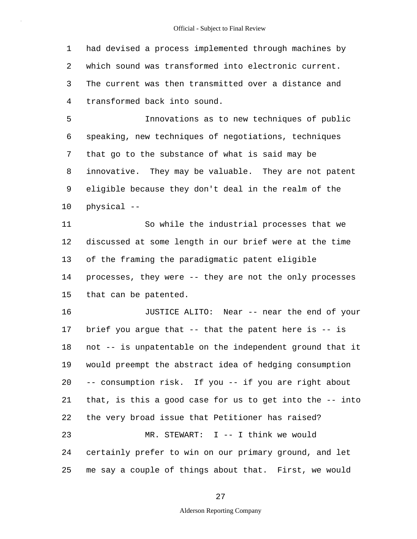1 2 3 4 had devised a process implemented through machines by which sound was transformed into electronic current. The current was then transmitted over a distance and transformed back into sound.

5 6 7 8 9 10 Innovations as to new techniques of public speaking, new techniques of negotiations, techniques that go to the substance of what is said may be innovative. They may be valuable. They are not patent eligible because they don't deal in the realm of the physical --

11 12 13 14 15 So while the industrial processes that we discussed at some length in our brief were at the time of the framing the paradigmatic patent eligible processes, they were -- they are not the only processes that can be patented.

16 17 18 19 20 21 22 23 24 25 JUSTICE ALITO: Near -- near the end of your brief you arque that  $-$ - that the patent here is  $-$ - is not -- is unpatentable on the independent ground that it would preempt the abstract idea of hedging consumption -- consumption risk. If you -- if you are right about that, is this a good case for us to get into the -- into the very broad issue that Petitioner has raised? MR. STEWART: I -- I think we would certainly prefer to win on our primary ground, and let me say a couple of things about that. First, we would

27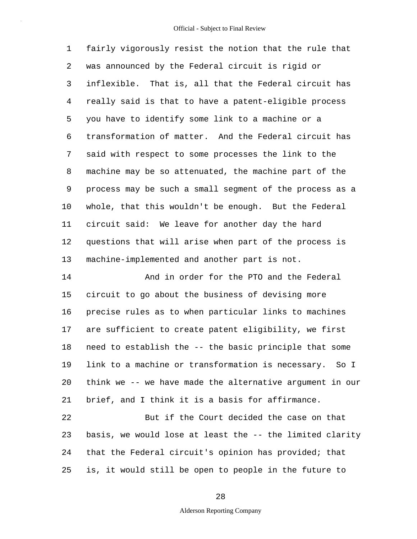1 2 3 4 5 6 7 8 9 10 11 12 13 fairly vigorously resist the notion that the rule that was announced by the Federal circuit is rigid or inflexible. That is, all that the Federal circuit has really said is that to have a patent-eligible process you have to identify some link to a machine or a transformation of matter. And the Federal circuit has said with respect to some processes the link to the machine may be so attenuated, the machine part of the process may be such a small segment of the process as a whole, that this wouldn't be enough. But the Federal circuit said: We leave for another day the hard questions that will arise when part of the process is machine-implemented and another part is not.

14 15 16 17 18 19 20 21 And in order for the PTO and the Federal circuit to go about the business of devising more precise rules as to when particular links to machines are sufficient to create patent eligibility, we first need to establish the -- the basic principle that some link to a machine or transformation is necessary. So I think we -- we have made the alternative argument in our brief, and I think it is a basis for affirmance.

22 23 24 25 But if the Court decided the case on that basis, we would lose at least the -- the limited clarity that the Federal circuit's opinion has provided; that is, it would still be open to people in the future to

28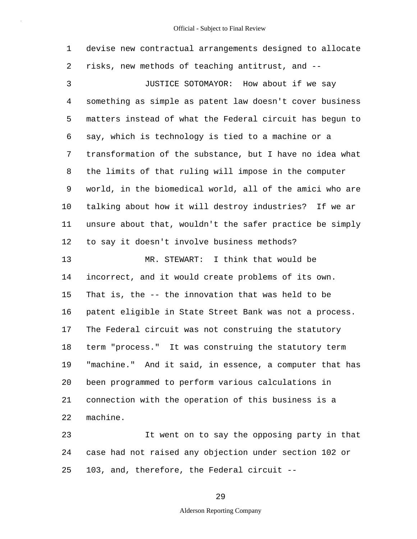| $\mathbf 1$  | devise new contractual arrangements designed to allocate |
|--------------|----------------------------------------------------------|
| 2            | risks, new methods of teaching antitrust, and --         |
| $\mathsf{3}$ | JUSTICE SOTOMAYOR: How about if we say                   |
| 4            | something as simple as patent law doesn't cover business |
| 5            | matters instead of what the Federal circuit has begun to |
| 6            | say, which is technology is tied to a machine or a       |
| 7            | transformation of the substance, but I have no idea what |
| 8            | the limits of that ruling will impose in the computer    |
| 9            | world, in the biomedical world, all of the amici who are |
| 10           | talking about how it will destroy industries? If we ar   |
| 11           | unsure about that, wouldn't the safer practice be simply |
| 12           | to say it doesn't involve business methods?              |
| 13           | MR. STEWART: I think that would be                       |
| 14           | incorrect, and it would create problems of its own.      |
| 15           | That is, the -- the innovation that was held to be       |
| 16           | patent eligible in State Street Bank was not a process.  |
| 17           | The Federal circuit was not construing the statutory     |
| 18           | term "process." It was construing the statutory term     |
| 19           | "machine." And it said, in essence, a computer that has  |
| 20           | been programmed to perform various calculations in       |
| 21           | connection with the operation of this business is a      |
| 22           | machine.                                                 |
| 23           | It went on to say the opposing party in that             |

24 25 case had not raised any objection under section 102 or 103, and, therefore, the Federal circuit --

29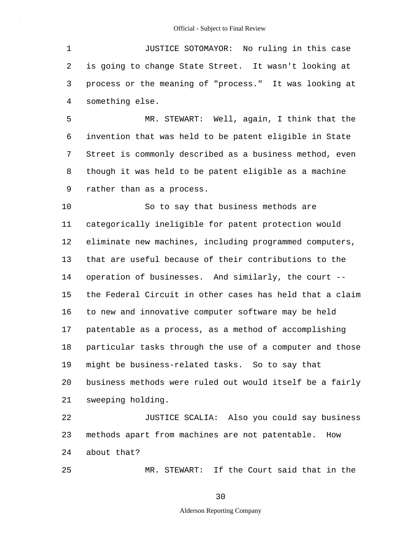1 2 3 4 JUSTICE SOTOMAYOR: No ruling in this case is going to change State Street. It wasn't looking at process or the meaning of "process." It was looking at something else.

5 6 7 8 9 MR. STEWART: Well, again, I think that the invention that was held to be patent eligible in State Street is commonly described as a business method, even though it was held to be patent eligible as a machine rather than as a process.

10 11 12 13 14 15 16 17 18 19 20 21 So to say that business methods are categorically ineligible for patent protection would eliminate new machines, including programmed computers, that are useful because of their contributions to the operation of businesses. And similarly, the court - the Federal Circuit in other cases has held that a claim to new and innovative computer software may be held patentable as a process, as a method of accomplishing particular tasks through the use of a computer and those might be business-related tasks. So to say that business methods were ruled out would itself be a fairly sweeping holding.

22 23 24 JUSTICE SCALIA: Also you could say business methods apart from machines are not patentable. How about that?

25

MR. STEWART: If the Court said that in the

30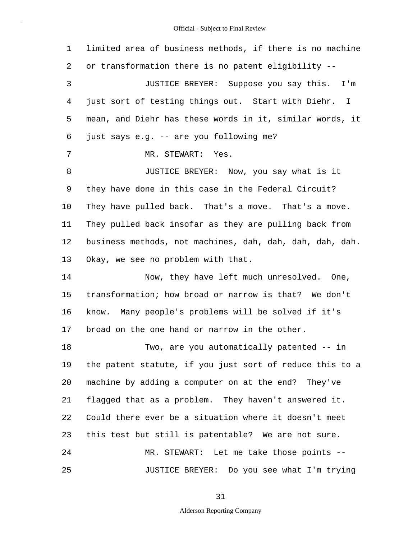| 1  | limited area of business methods, if there is no machine |
|----|----------------------------------------------------------|
| 2  | or transformation there is no patent eligibility --      |
| 3  | JUSTICE BREYER: Suppose you say this. I'm                |
| 4  | just sort of testing things out. Start with Diehr. I     |
| 5  | mean, and Diehr has these words in it, similar words, it |
| 6  | just says e.g. -- are you following me?                  |
| 7  | MR. STEWART: Yes.                                        |
| 8  | JUSTICE BREYER: Now, you say what is it                  |
| 9  | they have done in this case in the Federal Circuit?      |
| 10 | They have pulled back. That's a move. That's a move.     |
| 11 | They pulled back insofar as they are pulling back from   |
| 12 | business methods, not machines, dah, dah, dah, dah, dah. |
| 13 | Okay, we see no problem with that.                       |
| 14 | Now, they have left much unresolved. One,                |
| 15 | transformation; how broad or narrow is that? We don't    |
| 16 | know. Many people's problems will be solved if it's      |
| 17 | broad on the one hand or narrow in the other.            |
| 18 | Two, are you automatically patented -- in                |
| 19 | the patent statute, if you just sort of reduce this to a |
| 20 | machine by adding a computer on at the end? They've      |
| 21 | flagged that as a problem. They haven't answered it.     |
| 22 | Could there ever be a situation where it doesn't meet    |
| 23 | this test but still is patentable? We are not sure.      |
| 24 | MR. STEWART: Let me take those points --                 |
| 25 | JUSTICE BREYER: Do you see what I'm trying               |

31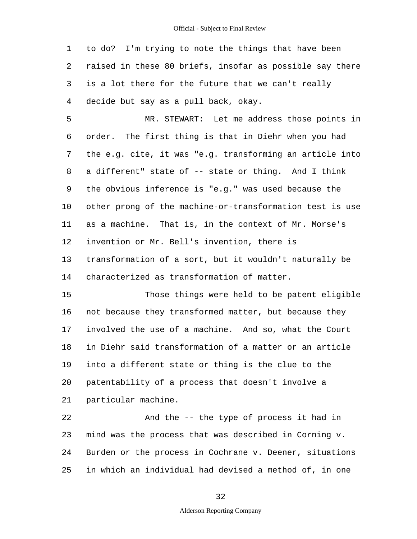1 2 3 4 to do? I'm trying to note the things that have been raised in these 80 briefs, insofar as possible say there is a lot there for the future that we can't really decide but say as a pull back, okay.

5 6 7 8 9 10 11 12 13 14 MR. STEWART: Let me address those points in order. The first thing is that in Diehr when you had the e.g. cite, it was "e.g. transforming an article into a different" state of -- state or thing. And I think the obvious inference is "e.g." was used because the other prong of the machine-or-transformation test is use as a machine. That is, in the context of Mr. Morse's invention or Mr. Bell's invention, there is transformation of a sort, but it wouldn't naturally be characterized as transformation of matter.

15 16 17 18 19 20 21 Those things were held to be patent eligible not because they transformed matter, but because they involved the use of a machine. And so, what the Court in Diehr said transformation of a matter or an article into a different state or thing is the clue to the patentability of a process that doesn't involve a particular machine.

22 23 24 25 And the -- the type of process it had in mind was the process that was described in Corning v. Burden or the process in Cochrane v. Deener, situations in which an individual had devised a method of, in one

32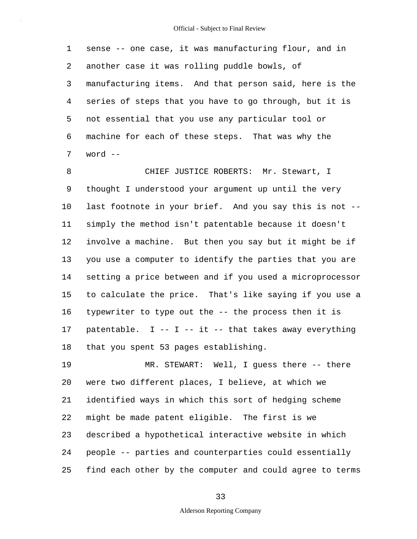1 2 3 4 5 6 7 sense -- one case, it was manufacturing flour, and in another case it was rolling puddle bowls, of manufacturing items. And that person said, here is the series of steps that you have to go through, but it is not essential that you use any particular tool or machine for each of these steps. That was why the word --

8 9 10 11 12 13 14 15 16 17 18 CHIEF JUSTICE ROBERTS: Mr. Stewart, I thought I understood your argument up until the very last footnote in your brief. And you say this is not - simply the method isn't patentable because it doesn't involve a machine. But then you say but it might be if you use a computer to identify the parties that you are setting a price between and if you used a microprocessor to calculate the price. That's like saying if you use a typewriter to type out the -- the process then it is patentable. I -- I -- it -- that takes away everything that you spent 53 pages establishing.

19 20 21 22 23 24 25 MR. STEWART: Well, I guess there -- there were two different places, I believe, at which we identified ways in which this sort of hedging scheme might be made patent eligible. The first is we described a hypothetical interactive website in which people -- parties and counterparties could essentially find each other by the computer and could agree to terms

33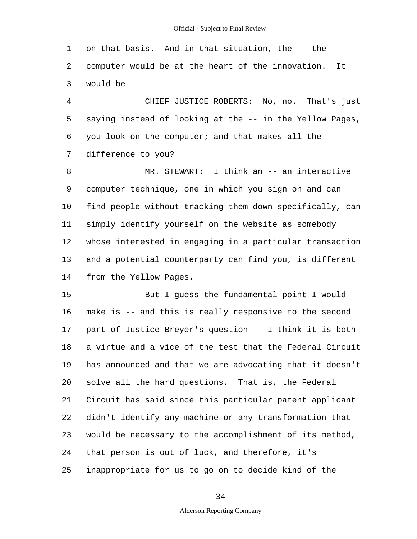1 2 3 on that basis. And in that situation, the -- the computer would be at the heart of the innovation. It would be --

4 5 6 7 CHIEF JUSTICE ROBERTS: No, no. That's just saying instead of looking at the -- in the Yellow Pages, you look on the computer; and that makes all the difference to you?

8 9 10 11 12 13 14 MR. STEWART: I think an -- an interactive computer technique, one in which you sign on and can find people without tracking them down specifically, can simply identify yourself on the website as somebody whose interested in engaging in a particular transaction and a potential counterparty can find you, is different from the Yellow Pages.

15 16 17 18 19 20 21 22 23 24 25 But I guess the fundamental point I would make is -- and this is really responsive to the second part of Justice Breyer's question -- I think it is both a virtue and a vice of the test that the Federal Circuit has announced and that we are advocating that it doesn't solve all the hard questions. That is, the Federal Circuit has said since this particular patent applicant didn't identify any machine or any transformation that would be necessary to the accomplishment of its method, that person is out of luck, and therefore, it's inappropriate for us to go on to decide kind of the

34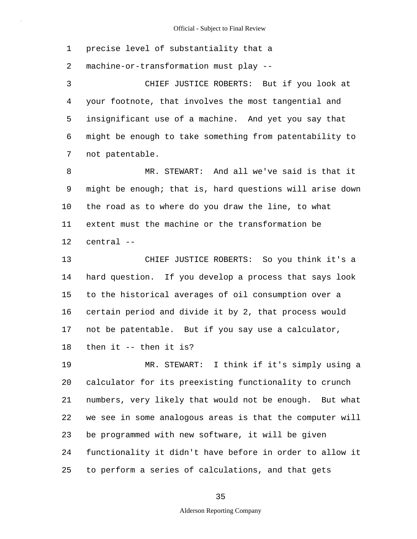1 precise level of substantiality that a

2 machine-or-transformation must play --

3 4 5 6 7 CHIEF JUSTICE ROBERTS: But if you look at your footnote, that involves the most tangential and insignificant use of a machine. And yet you say that might be enough to take something from patentability to not patentable.

8 9 10 11 12 MR. STEWART: And all we've said is that it might be enough; that is, hard questions will arise down the road as to where do you draw the line, to what extent must the machine or the transformation be central --

13 14 15 16 17 18 CHIEF JUSTICE ROBERTS: So you think it's a hard question. If you develop a process that says look to the historical averages of oil consumption over a certain period and divide it by 2, that process would not be patentable. But if you say use a calculator, then it -- then it is?

19 20 21 22 23 24 25 MR. STEWART: I think if it's simply using a calculator for its preexisting functionality to crunch numbers, very likely that would not be enough. But what we see in some analogous areas is that the computer will be programmed with new software, it will be given functionality it didn't have before in order to allow it to perform a series of calculations, and that gets

35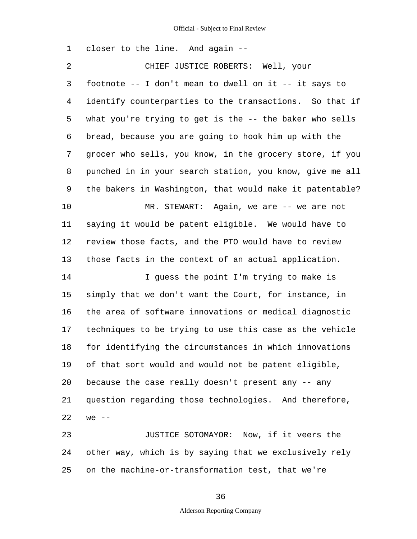| 1              | closer to the line. And again --                         |
|----------------|----------------------------------------------------------|
| $\overline{2}$ | CHIEF JUSTICE ROBERTS: Well, your                        |
| 3              | footnote -- I don't mean to dwell on it -- it says to    |
| $\overline{4}$ | identify counterparties to the transactions. So that if  |
| 5              | what you're trying to get is the -- the baker who sells  |
| 6              | bread, because you are going to hook him up with the     |
| 7              | grocer who sells, you know, in the grocery store, if you |
| 8              | punched in in your search station, you know, give me all |
| 9              | the bakers in Washington, that would make it patentable? |
| 10             | MR. STEWART: Again, we are -- we are not                 |
| 11             | saying it would be patent eligible. We would have to     |
| 12             | review those facts, and the PTO would have to review     |
| 13             | those facts in the context of an actual application.     |
| 14             | I guess the point I'm trying to make is                  |
| 15             | simply that we don't want the Court, for instance, in    |
| 16             | the area of software innovations or medical diagnostic   |
| 17             | techniques to be trying to use this case as the vehicle  |
| 18             | for identifying the circumstances in which innovations   |
| 19             | of that sort would and would not be patent eligible,     |
| 20             | because the case really doesn't present any -- any       |
| 21             | question regarding those technologies. And therefore,    |
| 22             | $we$ --                                                  |
| 23             | JUSTICE SOTOMAYOR: Now, if it veers the                  |
| 24             | other way, which is by saying that we exclusively rely   |
| 25             | on the machine-or-transformation test, that we're        |

36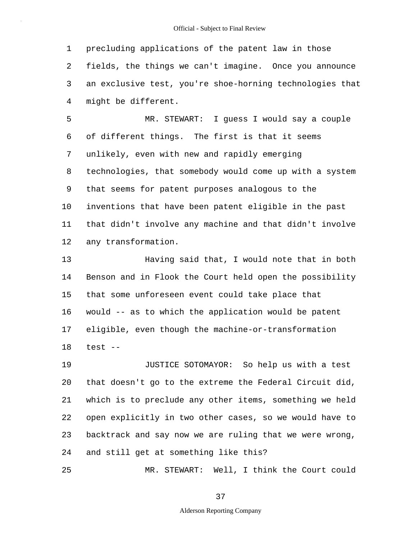1 2 3 4 precluding applications of the patent law in those fields, the things we can't imagine. Once you announce an exclusive test, you're shoe-horning technologies that might be different.

5 6 7 8 9 10 11 12 MR. STEWART: I guess I would say a couple of different things. The first is that it seems unlikely, even with new and rapidly emerging technologies, that somebody would come up with a system that seems for patent purposes analogous to the inventions that have been patent eligible in the past that didn't involve any machine and that didn't involve any transformation.

13 14 15 16 17 18 Having said that, I would note that in both Benson and in Flook the Court held open the possibility that some unforeseen event could take place that would -- as to which the application would be patent eligible, even though the machine-or-transformation test --

19 20 21 22 23 24 JUSTICE SOTOMAYOR: So help us with a test that doesn't go to the extreme the Federal Circuit did, which is to preclude any other items, something we held open explicitly in two other cases, so we would have to backtrack and say now we are ruling that we were wrong, and still get at something like this?

25 MR. STEWART: Well, I think the Court could

37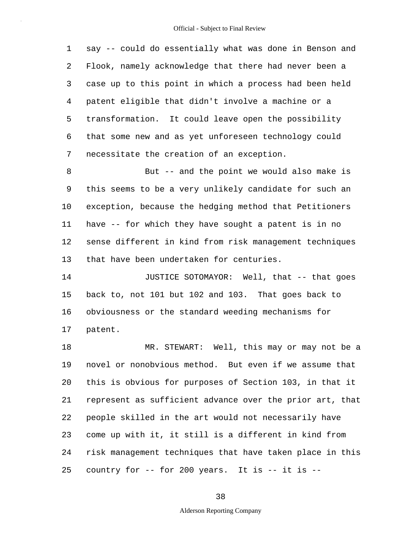1 2 3 4 5 6 7 say -- could do essentially what was done in Benson and Flook, namely acknowledge that there had never been a case up to this point in which a process had been held patent eligible that didn't involve a machine or a transformation. It could leave open the possibility that some new and as yet unforeseen technology could necessitate the creation of an exception.

8 9 10 11 12 13 But -- and the point we would also make is this seems to be a very unlikely candidate for such an exception, because the hedging method that Petitioners have -- for which they have sought a patent is in no sense different in kind from risk management techniques that have been undertaken for centuries.

14 15 16 17 JUSTICE SOTOMAYOR: Well, that -- that goes back to, not 101 but 102 and 103. That goes back to obviousness or the standard weeding mechanisms for patent.

18 19 20 21 22 23 24 25 MR. STEWART: Well, this may or may not be a novel or nonobvious method. But even if we assume that this is obvious for purposes of Section 103, in that it represent as sufficient advance over the prior art, that people skilled in the art would not necessarily have come up with it, it still is a different in kind from risk management techniques that have taken place in this country for -- for 200 years. It is -- it is --

38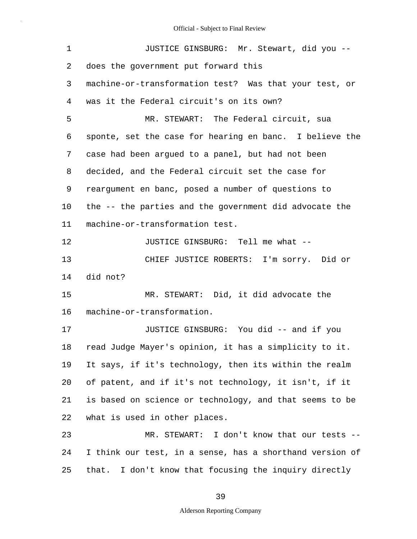| $\mathbf 1$ | JUSTICE GINSBURG: Mr. Stewart, did you --                |
|-------------|----------------------------------------------------------|
| 2           | does the government put forward this                     |
| 3           | machine-or-transformation test? Was that your test, or   |
| 4           | was it the Federal circuit's on its own?                 |
| 5           | MR. STEWART: The Federal circuit, sua                    |
| 6           | sponte, set the case for hearing en banc. I believe the  |
| 7           | case had been argued to a panel, but had not been        |
| 8           | decided, and the Federal circuit set the case for        |
| 9           | reargument en banc, posed a number of questions to       |
| 10          | the -- the parties and the government did advocate the   |
| 11          | machine-or-transformation test.                          |
| 12          | JUSTICE GINSBURG: Tell me what --                        |
| 13          | CHIEF JUSTICE ROBERTS: I'm sorry. Did or                 |
| 14          | did not?                                                 |
| 15          | MR. STEWART: Did, it did advocate the                    |
| 16          | machine-or-transformation.                               |
| 17          | JUSTICE GINSBURG: You did -- and if you                  |
| 18          | read Judge Mayer's opinion, it has a simplicity to it.   |
| 19          | It says, if it's technology, then its within the realm   |
| 20          | of patent, and if it's not technology, it isn't, if it   |
| 21          | is based on science or technology, and that seems to be  |
| 22          | what is used in other places.                            |
| 23          | MR. STEWART: I don't know that our tests --              |
| 24          | I think our test, in a sense, has a shorthand version of |
| 25          | that. I don't know that focusing the inquiry directly    |

39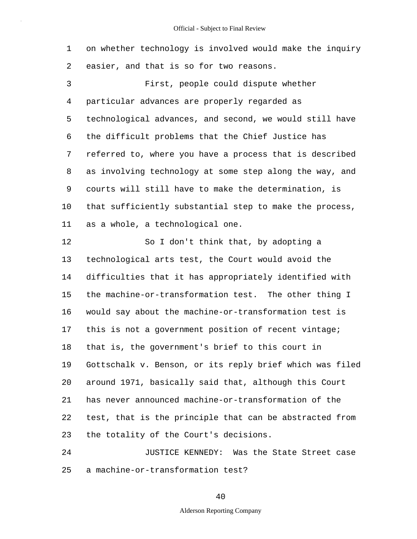1 2 3 4 5 6 7 8 9 10 11 12 13 14 15 16 17 on whether technology is involved would make the inquiry easier, and that is so for two reasons. First, people could dispute whether particular advances are properly regarded as technological advances, and second, we would still have the difficult problems that the Chief Justice has referred to, where you have a process that is described as involving technology at some step along the way, and courts will still have to make the determination, is that sufficiently substantial step to make the process, as a whole, a technological one. So I don't think that, by adopting a technological arts test, the Court would avoid the difficulties that it has appropriately identified with the machine-or-transformation test. The other thing I would say about the machine-or-transformation test is this is not a government position of recent vintage;

18 19 20 21 22 23 that is, the government's brief to this court in Gottschalk v. Benson, or its reply brief which was filed around 1971, basically said that, although this Court has never announced machine-or-transformation of the test, that is the principle that can be abstracted from the totality of the Court's decisions.

24 25 JUSTICE KENNEDY: Was the State Street case a machine-or-transformation test?

40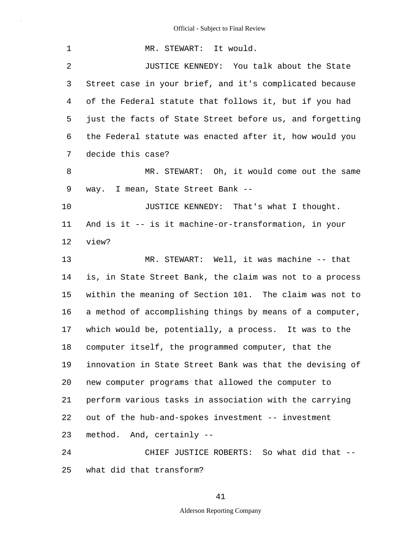| 1              | MR. STEWART: It would.                                   |
|----------------|----------------------------------------------------------|
| $\overline{2}$ | JUSTICE KENNEDY: You talk about the State                |
| 3              | Street case in your brief, and it's complicated because  |
| 4              | of the Federal statute that follows it, but if you had   |
| 5              | just the facts of State Street before us, and forgetting |
| 6              | the Federal statute was enacted after it, how would you  |
| 7              | decide this case?                                        |
| 8              | MR. STEWART: Oh, it would come out the same              |
| 9              | way. I mean, State Street Bank --                        |
| 10             | JUSTICE KENNEDY: That's what I thought.                  |
| 11             | And is it -- is it machine-or-transformation, in your    |
| 12             | view?                                                    |
| 13             | MR. STEWART: Well, it was machine -- that                |
| 14             | is, in State Street Bank, the claim was not to a process |
| 15             | within the meaning of Section 101. The claim was not to  |
| 16             | a method of accomplishing things by means of a computer, |
| 17             | which would be, potentially, a process. It was to the    |
| 18             | computer itself, the programmed computer, that the       |
| 19             | innovation in State Street Bank was that the devising of |
| 20             | new computer programs that allowed the computer to       |
| 21             | perform various tasks in association with the carrying   |
| 22             | out of the hub-and-spokes investment -- investment       |
| 23             | method. And, certainly --                                |
| 24             | CHIEF JUSTICE ROBERTS: So what did that --               |
| 25             | what did that transform?                                 |

41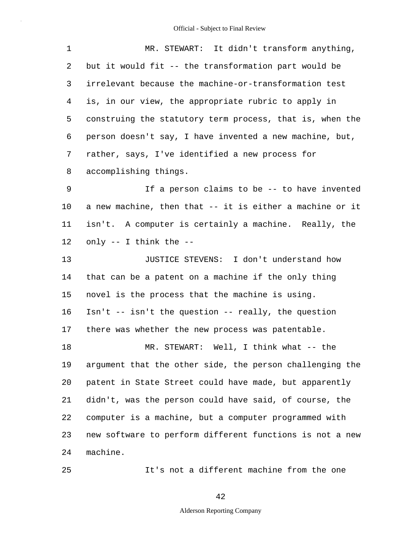| $\mathbf 1$ | MR. STEWART: It didn't transform anything,                   |
|-------------|--------------------------------------------------------------|
| 2           | but it would fit -- the transformation part would be         |
| 3           | irrelevant because the machine-or-transformation test        |
| 4           | is, in our view, the appropriate rubric to apply in          |
| 5           | construing the statutory term process, that is, when the     |
| 6           | person doesn't say, I have invented a new machine, but,      |
| 7           | rather, says, I've identified a new process for              |
| 8           | accomplishing things.                                        |
| 9           | If a person claims to be -- to have invented                 |
| $10\,$      | a new machine, then that -- it is either a machine or it     |
| 11          | isn't. A computer is certainly a machine. Really, the        |
| 12          | only -- I think the --                                       |
| 13          | JUSTICE STEVENS: I don't understand how                      |
| 14          |                                                              |
|             | that can be a patent on a machine if the only thing          |
| 15          | novel is the process that the machine is using.              |
| 16          | $\text{Isn't -- isn't the question -- really, the question}$ |
| 17          | there was whether the new process was patentable.            |
| 18          | MR. STEWART: Well, I think what -- the                       |
| 19          | argument that the other side, the person challenging the     |
| 20          | patent in State Street could have made, but apparently       |
| 21          | didn't, was the person could have said, of course, the       |
| 22          | computer is a machine, but a computer programmed with        |
| 23          | new software to perform different functions is not a new     |

It's not a different machine from the one

25

42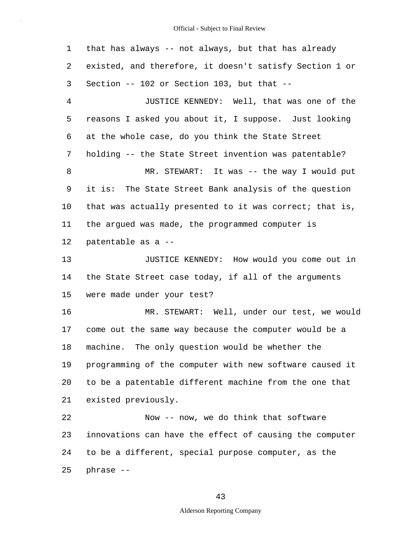1 2 3 4 5 6 7 8 9 10 11 12 13 14 15 16 17 18 19 20 21 22 23 24 25 that has always -- not always, but that has already existed, and therefore, it doesn't satisfy Section 1 or Section -- 102 or Section 103, but that -- JUSTICE KENNEDY: Well, that was one of the reasons I asked you about it, I suppose. Just looking at the whole case, do you think the State Street holding -- the State Street invention was patentable? MR. STEWART: It was -- the way I would put it is: The State Street Bank analysis of the question that was actually presented to it was correct; that is, the argued was made, the programmed computer is patentable as a -- JUSTICE KENNEDY: How would you come out in the State Street case today, if all of the arguments were made under your test? MR. STEWART: Well, under our test, we would come out the same way because the computer would be a machine. The only question would be whether the programming of the computer with new software caused it to be a patentable different machine from the one that existed previously. Now -- now, we do think that software innovations can have the effect of causing the computer to be a different, special purpose computer, as the phrase --

43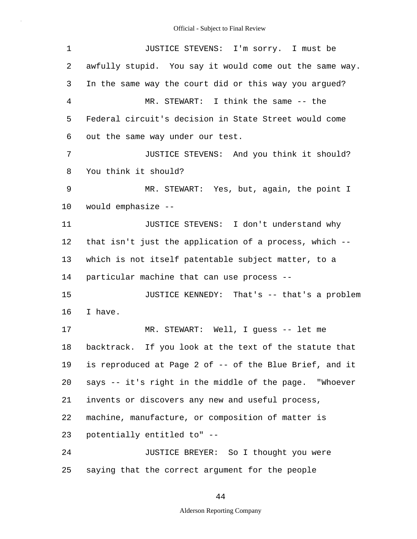| 1              | JUSTICE STEVENS: I'm sorry. I must be                   |
|----------------|---------------------------------------------------------|
| 2              | awfully stupid. You say it would come out the same way. |
| 3              | In the same way the court did or this way you argued?   |
| $\overline{4}$ | MR. STEWART: I think the same -- the                    |
| 5              | Federal circuit's decision in State Street would come   |
| 6              | out the same way under our test.                        |
| 7              | JUSTICE STEVENS: And you think it should?               |
| 8              | You think it should?                                    |
| 9              | MR. STEWART: Yes, but, again, the point I               |
| 10             | would emphasize --                                      |
| 11             | JUSTICE STEVENS: I don't understand why                 |
| 12             | that isn't just the application of a process, which --  |
| 13             | which is not itself patentable subject matter, to a     |
| 14             | particular machine that can use process --              |
| 15             | JUSTICE KENNEDY: That's -- that's a problem             |
| 16             | I have.                                                 |
| 17             | MR. STEWART: Well, I guess -- let me                    |
| 18             | backtrack. If you look at the text of the statute that  |
| 19             | is reproduced at Page 2 of -- of the Blue Brief, and it |
| 20             | says -- it's right in the middle of the page. "Whoever  |
| 21             | invents or discovers any new and useful process,        |
| 22             | machine, manufacture, or composition of matter is       |
| 23             | potentially entitled to" --                             |
| 24             | JUSTICE BREYER: So I thought you were                   |
| 25             | saying that the correct argument for the people         |

## 44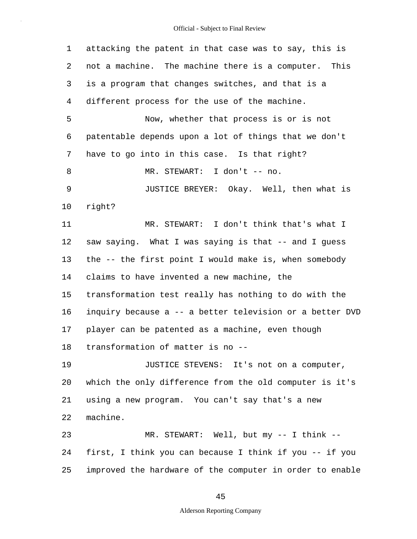| 1       | attacking the patent in that case was to say, this is    |
|---------|----------------------------------------------------------|
| 2       | not a machine. The machine there is a computer. This     |
| 3       | is a program that changes switches, and that is a        |
| 4       | different process for the use of the machine.            |
| 5       | Now, whether that process is or is not                   |
| 6       | patentable depends upon a lot of things that we don't    |
| 7       | have to go into in this case. Is that right?             |
| 8       | MR. STEWART: I don't -- no.                              |
| 9       | JUSTICE BREYER: Okay. Well, then what is                 |
| $10 \,$ | right?                                                   |
| 11      | MR. STEWART: I don't think that's what I                 |
| 12      | saw saying. What I was saying is that -- and I guess     |
| 13      | the -- the first point I would make is, when somebody    |
| 14      | claims to have invented a new machine, the               |
| 15      | transformation test really has nothing to do with the    |
| 16      | inquiry because a -- a better television or a better DVD |
| 17      | player can be patented as a machine, even though         |
| 18      | transformation of matter is no --                        |
| 19      | JUSTICE STEVENS: It's not on a computer,                 |
| 20      | which the only difference from the old computer is it's  |
| 21      | using a new program. You can't say that's a new          |
| 22      | machine.                                                 |
| 23      | MR. STEWART: Well, but my -- I think --                  |
| 24      | first, I think you can because I think if you -- if you  |
| 25      | improved the hardware of the computer in order to enable |

45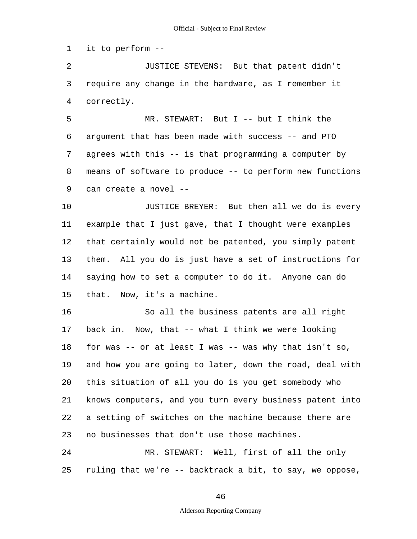1 it to perform --

2 3 4 JUSTICE STEVENS: But that patent didn't require any change in the hardware, as I remember it correctly.

5 6 7 8 9 MR. STEWART: But I -- but I think the argument that has been made with success -- and PTO agrees with this -- is that programming a computer by means of software to produce -- to perform new functions can create a novel --

10 11 12 13 14 15 JUSTICE BREYER: But then all we do is every example that I just gave, that I thought were examples that certainly would not be patented, you simply patent them. All you do is just have a set of instructions for saying how to set a computer to do it. Anyone can do that. Now, it's a machine.

16 17 18 19 20 21 22 23 24 So all the business patents are all right back in. Now, that -- what I think we were looking for was  $-$ - or at least I was  $-$ - was why that isn't so, and how you are going to later, down the road, deal with this situation of all you do is you get somebody who knows computers, and you turn every business patent into a setting of switches on the machine because there are no businesses that don't use those machines. MR. STEWART: Well, first of all the only

25 ruling that we're -- backtrack a bit, to say, we oppose,

46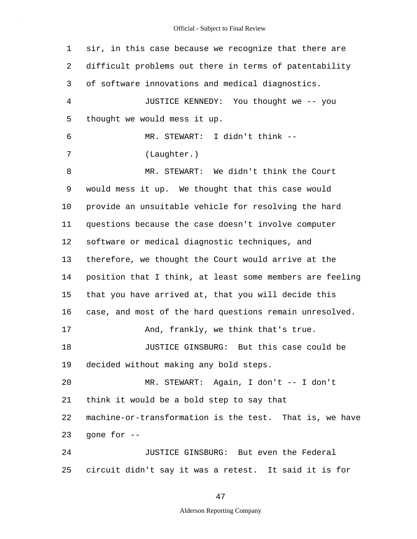| $\mathbf 1$ | sir, in this case because we recognize that there are    |
|-------------|----------------------------------------------------------|
| 2           | difficult problems out there in terms of patentability   |
| 3           | of software innovations and medical diagnostics.         |
| 4           | JUSTICE KENNEDY: You thought we -- you                   |
| 5           | thought we would mess it up.                             |
| 6           | MR. STEWART: I didn't think --                           |
| 7           | (Laughter.)                                              |
| 8           | MR. STEWART: We didn't think the Court                   |
| 9           | would mess it up. We thought that this case would        |
| $10 \,$     | provide an unsuitable vehicle for resolving the hard     |
| 11          | questions because the case doesn't involve computer      |
| 12          | software or medical diagnostic techniques, and           |
| 13          | therefore, we thought the Court would arrive at the      |
| 14          | position that I think, at least some members are feeling |
| 15          | that you have arrived at, that you will decide this      |
| 16          | case, and most of the hard questions remain unresolved.  |
| 17          | And, frankly, we think that's true.                      |
| 18          | JUSTICE GINSBURG: But this case could be                 |
| 19          | decided without making any bold steps.                   |
| 20          | MR. STEWART: Again, I don't -- I don't                   |
| 21          | think it would be a bold step to say that                |
| 22          | machine-or-transformation is the test. That is, we have  |
| 23          | qone for --                                              |
| 24          | JUSTICE GINSBURG: But even the Federal                   |
| 25          | circuit didn't say it was a retest. It said it is for    |

47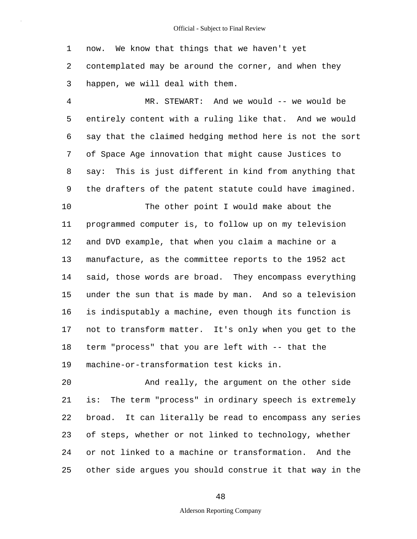1 2 3 now. We know that things that we haven't yet contemplated may be around the corner, and when they happen, we will deal with them.

4 5 6 7 8 9 MR. STEWART: And we would -- we would be entirely content with a ruling like that. And we would say that the claimed hedging method here is not the sort of Space Age innovation that might cause Justices to say: This is just different in kind from anything that the drafters of the patent statute could have imagined.

10 11 12 13 14 15 16 17 18 19 The other point I would make about the programmed computer is, to follow up on my television and DVD example, that when you claim a machine or a manufacture, as the committee reports to the 1952 act said, those words are broad. They encompass everything under the sun that is made by man. And so a television is indisputably a machine, even though its function is not to transform matter. It's only when you get to the term "process" that you are left with -- that the machine-or-transformation test kicks in.

20 21 22 23 24 25 And really, the argument on the other side is: The term "process" in ordinary speech is extremely broad. It can literally be read to encompass any series of steps, whether or not linked to technology, whether or not linked to a machine or transformation. And the other side argues you should construe it that way in the

48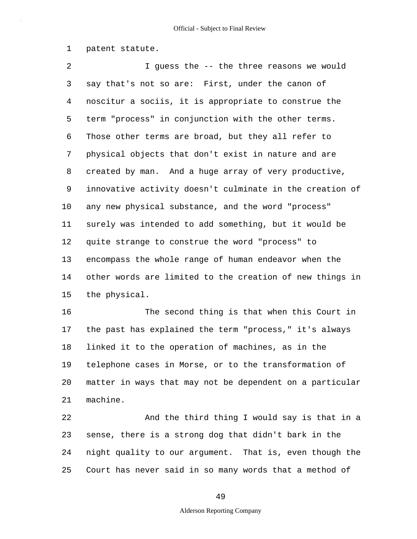1 patent statute.

2 3 4 5 6 7 8 9 10 11 12 13 14 15 I guess the -- the three reasons we would say that's not so are: First, under the canon of noscitur a sociis, it is appropriate to construe the term "process" in conjunction with the other terms. Those other terms are broad, but they all refer to physical objects that don't exist in nature and are created by man. And a huge array of very productive, innovative activity doesn't culminate in the creation of any new physical substance, and the word "process" surely was intended to add something, but it would be quite strange to construe the word "process" to encompass the whole range of human endeavor when the other words are limited to the creation of new things in the physical.

16 17 18 19 20 21 The second thing is that when this Court in the past has explained the term "process," it's always linked it to the operation of machines, as in the telephone cases in Morse, or to the transformation of matter in ways that may not be dependent on a particular machine.

22 23 24 25 And the third thing I would say is that in a sense, there is a strong dog that didn't bark in the night quality to our argument. That is, even though the Court has never said in so many words that a method of

49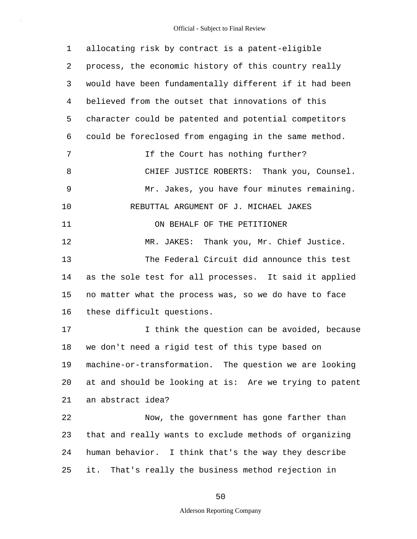| 1  | allocating risk by contract is a patent-eligible        |
|----|---------------------------------------------------------|
| 2  | process, the economic history of this country really    |
| 3  | would have been fundamentally different if it had been  |
| 4  | believed from the outset that innovations of this       |
| 5  | character could be patented and potential competitors   |
| 6  | could be foreclosed from engaging in the same method.   |
| 7  | If the Court has nothing further?                       |
| 8  | CHIEF JUSTICE ROBERTS: Thank you, Counsel.              |
| 9  | Mr. Jakes, you have four minutes remaining.             |
| 10 | REBUTTAL ARGUMENT OF J. MICHAEL JAKES                   |
| 11 | ON BEHALF OF THE PETITIONER                             |
| 12 | MR. JAKES: Thank you, Mr. Chief Justice.                |
| 13 | The Federal Circuit did announce this test              |
| 14 | as the sole test for all processes. It said it applied  |
| 15 | no matter what the process was, so we do have to face   |
| 16 | these difficult questions.                              |
| 17 | I think the question can be avoided, because            |
| 18 | we don't need a rigid test of this type based on        |
| 19 | machine-or-transformation. The question we are looking  |
| 20 | at and should be looking at is: Are we trying to patent |
| 21 | an abstract idea?                                       |
| 22 | Now, the government has gone farther than               |
| 23 | that and really wants to exclude methods of organizing  |
| 24 | human behavior. I think that's the way they describe    |
| 25 | That's really the business method rejection in<br>it.   |

50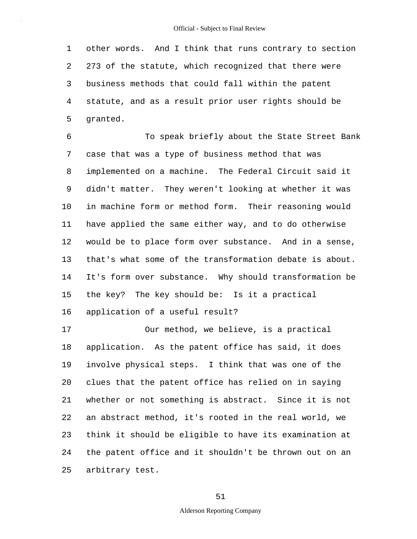1 2 3 4 5 other words. And I think that runs contrary to section 273 of the statute, which recognized that there were business methods that could fall within the patent statute, and as a result prior user rights should be granted.

6 7 8 9 10 11 12 13 14 15 16 To speak briefly about the State Street Bank case that was a type of business method that was implemented on a machine. The Federal Circuit said it didn't matter. They weren't looking at whether it was in machine form or method form. Their reasoning would have applied the same either way, and to do otherwise would be to place form over substance. And in a sense, that's what some of the transformation debate is about. It's form over substance. Why should transformation be the key? The key should be: Is it a practical application of a useful result?

17 18 19 20 21 22 23 24 25 Our method, we believe, is a practical application. As the patent office has said, it does involve physical steps. I think that was one of the clues that the patent office has relied on in saying whether or not something is abstract. Since it is not an abstract method, it's rooted in the real world, we think it should be eligible to have its examination at the patent office and it shouldn't be thrown out on an arbitrary test.

51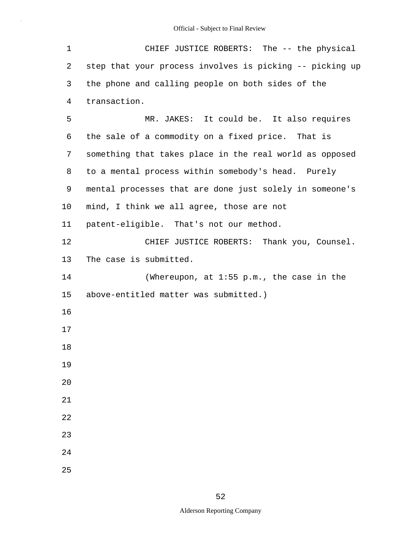| 1  | CHIEF JUSTICE ROBERTS: The -- the physical               |
|----|----------------------------------------------------------|
| 2  | step that your process involves is picking -- picking up |
| 3  | the phone and calling people on both sides of the        |
| 4  | transaction.                                             |
| 5  | MR. JAKES: It could be. It also requires                 |
| 6  | the sale of a commodity on a fixed price. That is        |
| 7  | something that takes place in the real world as opposed  |
| 8  | to a mental process within somebody's head. Purely       |
| 9  | mental processes that are done just solely in someone's  |
| 10 | mind, I think we all agree, those are not                |
| 11 | patent-eligible. That's not our method.                  |
| 12 | CHIEF JUSTICE ROBERTS: Thank you, Counsel.               |
| 13 | The case is submitted.                                   |
| 14 | (Whereupon, at $1:55$ p.m., the case in the              |
| 15 | above-entitled matter was submitted.)                    |
| 16 |                                                          |
| 17 |                                                          |
| 18 |                                                          |
| 19 |                                                          |
| 20 |                                                          |
| 21 |                                                          |
| 22 |                                                          |
| 23 |                                                          |
| 24 |                                                          |
| 25 |                                                          |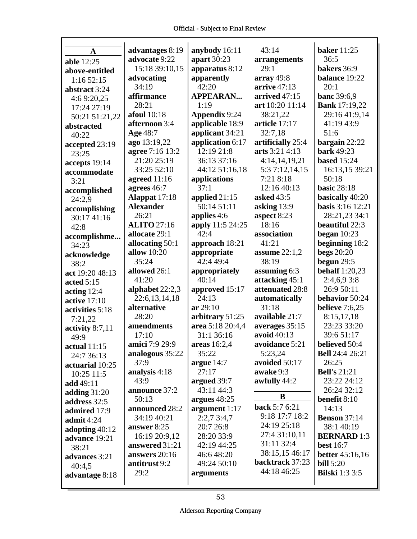| A                 | advantages 8:19    | anybody 16:11        | 43:14                          | <b>baker</b> 11:25     |
|-------------------|--------------------|----------------------|--------------------------------|------------------------|
| able 12:25        | advocate 9:22      | apart 30:23          | arrangements                   | 36:5                   |
| above-entitled    | 15:18 39:10,15     | apparatus 8:12       | 29:1                           | bakers 36:9            |
| 1:16 52:15        | advocating         | apparently           | array $49:8$                   | balance 19:22          |
| abstract 3:24     | 34:19              | 42:20                | arrive $47:13$                 | 20:1                   |
| 4:69:20,25        | affirmance         | <b>APPEARAN</b>      | arrived $47:15$                | <b>banc</b> 39:6,9     |
| 17:24 27:19       | 28:21              | 1:19                 | art 10:20 11:14                | <b>Bank</b> 17:19,22   |
| 50:21 51:21,22    | <b>afoul</b> 10:18 | <b>Appendix 9:24</b> | 38:21,22                       | 29:16 41:9,14          |
| abstracted        | afternoon 3:4      | applicable 18:9      | article 17:17                  | 41:19 43:9             |
| 40:22             | Age 48:7           | applicant 34:21      | 32:7,18                        | 51:6                   |
| accepted 23:19    | ago 13:19,22       | application 6:17     | artificially 25:4              | bargain $22:22$        |
| 23:25             | agree 7:16 13:2    | 12:19 21:8           | arts 3:21 4:13                 | <b>bark</b> 49:23      |
| accepts 19:14     | 21:20 25:19        | 36:13 37:16          | 4:14,14,19,21                  | <b>based</b> 15:24     |
| accommodate       | 33:25 52:10        | 44:12 51:16,18       | 5:3 7:12,14,15                 | 16:13,15 39:21         |
| 3:21              | agreed $11:16$     | applications         | 7:21 8:18                      | 50:18                  |
| accomplished      | agrees 46:7        | 37:1                 | 12:16 40:13                    | <b>basic 28:18</b>     |
| 24:2.9            | Alappat 17:18      | applied 21:15        | asked 43:5                     | basically 40:20        |
| accomplishing     | <b>Alexander</b>   | 50:14 51:11          | asking 13:9                    | basis 3:16 12:21       |
| 30:17 41:16       | 26:21              | applies 4:6          | aspect 8:23                    | 28:21,23 34:1          |
| 42:8              | <b>ALITO</b> 27:16 | apply 11:5 24:25     | 18:16                          | beautiful 22:3         |
| accomplishme      | allocate 29:1      | 42:4                 | association                    | began $10:23$          |
| 34:23             | allocating 50:1    | approach 18:21       | 41:21                          | beginning 18:2         |
| acknowledge       | allow 10:20        | appropriate          | assume $22:1,2$                | <b>begs</b> 20:20      |
| 38:2              | 35:24              | 42:4 49:4            | 38:19                          | begun $29:5$           |
| act 19:20 48:13   | allowed 26:1       | appropriately        | assuming 6:3                   | <b>behalf</b> 1:20,23  |
| acted 5:15        | 41:20              | 40:14                | attacking 45:1                 | 2:4,6,93:8             |
| acting $12:4$     | alphabet 22:2,3    | approved 15:17       | attenuated 28:8                | 26:9 50:11             |
| active $17:10$    | 22:6,13,14,18      | 24:13                | automatically                  | behavior 50:24         |
| activities 5:18   | alternative        | ar 29:10             | 31:18                          | believe 7:6,25         |
| 7:21,22           | 28:20              | arbitrary 51:25      | available 21:7                 | 8:15,17,18             |
| activity $8:7,11$ | amendments         | area 5:18 20:4,4     | averages 35:15                 | 23:23 33:20            |
| 49:9              | 17:10              | 31:1 36:16           | avoid 40:13                    | 39:6 51:17             |
| actual $11:15$    | amici 7:9 29:9     | areas 16:2,4         | avoidance 5:21                 | believed 50:4          |
| 24:7 36:13        | analogous 35:22    | 35:22                | 5:23,24                        | <b>Bell</b> 24:4 26:21 |
| actuarial 10:25   | 37:9               | argue $14:7$         | avoided 50:17                  | 26:25                  |
| 10:25 11:5        | analysis 4:18      | 27:17                | awake 9:3                      | <b>Bell's</b> 21:21    |
| add 49:11         | 43:9               | argued 39:7          | awfully 44:2                   | 23:22 24:12            |
| adding $31:20$    | announce 37:2      | 43:11 44:3           | B                              | 26:24 32:12            |
| address 32:5      | 50:13              | argues $48:25$       |                                | benefit 8:10           |
| admired 17:9      | announced 28:2     | argument 1:17        | back 5:7 6:21                  | 14:13                  |
| admit $4:24$      | 34:19 40:21        | 2:2,73:4,7           | 9:18 17:7 18:2                 | <b>Benson</b> 37:14    |
| adopting 40:12    | answer 8:25        | 20:7 26:8            | 24:19 25:18                    | 38:1 40:19             |
| advance 19:21     | 16:19 20:9,12      | 28:20 33:9           | 27:4 31:10,11<br>31:11 32:4    | <b>BERNARD</b> 1:3     |
| 38:21             | answered 31:21     | 42:19 44:25          |                                | <b>best</b> 16:7       |
| advances 3:21     | answers 20:16      | 46:6 48:20           | 38:15,15 46:17                 | <b>better</b> 45:16,16 |
| 40:4,5            | antitrust 9:2      | 49:24 50:10          | backtrack 37:23<br>44:18 46:25 | <b>bill</b> 5:20       |
| advantage 8:18    | 29:2               | arguments            |                                | <b>Bilski</b> 1:3 3:5  |
|                   |                    |                      |                                |                        |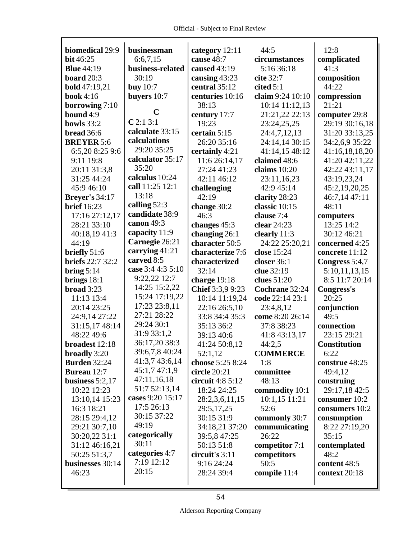| biomedical 29:9         | businessman       | category 12:11    | 44:5             | 12:8                |
|-------------------------|-------------------|-------------------|------------------|---------------------|
| bit 46:25               | 6:6,7,15          | cause 48:7        | circumstances    | complicated         |
| <b>Blue</b> 44:19       | business-related  | caused 43:19      | 5:16 36:18       | 41:3                |
| board 20:3              | 30:19             | causing 43:23     | cite 32:7        | composition         |
| <b>bold</b> 47:19,21    | buy $10:7$        | central 35:12     | cited $5:1$      | 44:22               |
| <b>book</b> 4:16        | buyers 10:7       | centuries 10:16   | claim 9:24 10:10 | compression         |
| borrowing 7:10          |                   | 38:13             | 10:14 11:12,13   | 21:21               |
| bound 4:9               | $\mathbf C$       | century 17:7      | 21:21,22 22:13   | computer 29:8       |
| bowls 33:2              | C2:13:1           | 19:23             | 23:24,25,25      | 29:19 30:16,18      |
| bread 36:6              | calculate 33:15   | certain 5:15      | 24:4,7,12,13     | 31:20 33:13,25      |
| <b>BREYER 5:6</b>       | calculations      | 26:20 35:16       | 24:14,14 30:15   | 34:2,6,9 35:22      |
| 6:5,20 8:25 9:6         | 29:20 35:25       | certainly 4:21    | 41:14,15 48:12   | 41:16,18,18,20      |
| 9:11 19:8               | calculator 35:17  | 11:6 26:14,17     | claimed 48:6     | 41:20 42:11,22      |
| 20:11 31:3,8            | 35:20             | 27:24 41:23       | claims $10:20$   | 42:22 43:11,17      |
| 31:25 44:24             | calculus 10:24    | 42:11 46:12       | 23:11,16,23      | 43:19,23,24         |
| 45:9 46:10              | call 11:25 12:1   | challenging       | 42:9 45:14       | 45:2,19,20,25       |
| <b>Breyer's 34:17</b>   | 13:18             | 42:19             | clarity 28:23    | 46:7,14 47:11       |
| <b>brief</b> 16:23      | calling $52:3$    | change 30:2       | classic 10:15    | 48:11               |
| 17:16 27:12,17          | candidate 38:9    | 46:3              | clause 7:4       | computers           |
| 28:21 33:10             | canon 49:3        | changes 45:3      | clear 24:23      | 13:25 14:2          |
| 40:18,19 41:3           | capacity 11:9     | changing 26:1     | clearly 11:3     | 30:12 46:21         |
| 44:19                   | Carnegie 26:21    | character 50:5    | 24:22 25:20,21   | concerned 4:25      |
| briefly 51:6            | carrying 41:21    | characterize 7:6  | close 15:24      | concrete 11:12      |
| <b>briefs</b> 22:7 32:2 | carved 8:5        | characterized     | closer $36:1$    | Congress 5:4,7      |
| bring $5:14$            | case 3:4 4:3 5:10 | 32:14             | clue 32:19       | 5:10,11,13,15       |
| brings $18:1$           | 9:22,22 12:7      | charge $19:18$    | clues 51:20      | 8:5 11:7 20:14      |
| broad 3:23              | 14:25 15:2,22     | Chief 3:3,9 9:23  | Cochrane 32:24   | Congress's          |
| 11:13 13:4              | 15:24 17:19,22    | 10:14 11:19,24    | code 22:14 23:1  | 20:25               |
| 20:14 23:25             | 17:23 23:8,11     | 22:16 26:5,10     | 23:4,8,12        | conjunction         |
| 24:9,14 27:22           | 27:21 28:22       | 33:8 34:4 35:3    | come 8:20 26:14  | 49:5                |
| 31:15,17 48:14          | 29:24 30:1        | 35:13 36:2        | 37:8 38:23       | connection          |
| 48:22 49:6              | 31:9 33:1,2       | 39:13 40:6        | 41:8 43:13,17    | 23:15 29:21         |
| broadest 12:18          | 36:17,20 38:3     | 41:24 50:8,12     | 44:2,5           | <b>Constitution</b> |
| broadly 3:20            | 39:6,7,8 40:24    | 52:1,12           | <b>COMMERCE</b>  | 6:22                |
| <b>Burden 32:24</b>     | 41:3,7 43:6,14    | choose 5:25 8:24  | 1:8              | construe 48:25      |
| <b>Bureau</b> 12:7      | 45:1,747:1,9      | circle 20:21      | committee        | 49:4,12             |
| business $5:2,17$       | 47:11,16,18       | circuit $4:85:12$ | 48:13            | construing          |
| 10:22 12:23             | 51:7 52:13,14     | 18:24 24:25       | commodity 10:1   | 29:17,18 42:5       |
| 13:10,14 15:23          | cases 9:20 15:17  | 28:2,3,6,11,15    | $10:1,15$ 11:21  | consumer 10:2       |
| 16:3 18:21              | 17:5 26:13        | 29:5,17,25        | 52:6             | consumers 10:2      |
| 28:15 29:4,12           | 30:15 37:22       | 30:15 31:9        | commonly 30:7    | consumption         |
| 29:21 30:7,10           | 49:19             | 34:18,21 37:20    | communicating    | 8:22 27:19,20       |
| 30:20,22 31:1           | categorically     | 39:5,8 47:25      | 26:22            | 35:15               |
| 31:12 46:16,21          | 30:11             | 50:13 51:8        | competitor 7:1   | contemplated        |
| 50:25 51:3,7            | categories 4:7    | circuit's 3:11    | competitors      | 48:2                |
| businesses 30:14        | 7:19 12:12        | 9:16 24:24        | 50:5             | content 48:5        |
| 46:23                   | 20:15             | 28:24 39:4        | compile 11:4     | context 20:18       |
|                         |                   |                   |                  |                     |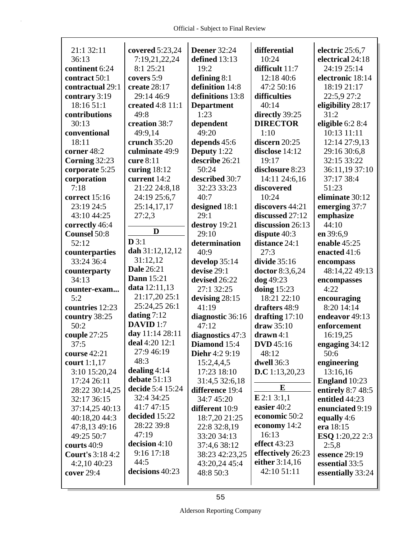| 21:1 32:11                  | covered 5:23,24      | <b>Deener</b> 32:24             | differential           | electric 25:6,7                     |
|-----------------------------|----------------------|---------------------------------|------------------------|-------------------------------------|
| 36:13                       | 7:19,21,22,24        | defined 13:13                   | 10:24                  | electrical 24:18                    |
| continent 6:24              | 8:1 25:21            | 19:2                            | difficult 11:7         | 24:19 25:14                         |
| contract 50:1               | covers 5:9           | defining 8:1                    | 12:18 40:6             | electronic 18:14                    |
| contractual 29:1            | create 28:17         | definition 14:8                 | 47:2 50:16             | 18:19 21:17                         |
| contrary 3:19               | 29:14 46:9           | definitions 13:8                | difficulties           | 22:5,9 27:2                         |
| 18:16 51:1                  | created 4:8 11:1     | <b>Department</b>               | 40:14                  | eligibility 28:17                   |
| contributions               | 49:8                 | 1:23                            | directly 39:25         | 31:2                                |
| 30:13                       | creation 38:7        | dependent                       | <b>DIRECTOR</b>        | eligible $6:28:4$                   |
| conventional                | 49:9,14              | 49:20                           | 1:10                   | 10:13 11:11                         |
| 18:11                       | crunch 35:20         | depends 45:6                    | discern 20:25          | 12:14 27:9,13                       |
| corner 48:2                 | culminate 49:9       | Deputy 1:22                     | disclose 14:12         | 29:16 30:6,8                        |
| Corning 32:23               | cure $8:11$          | describe 26:21                  | 19:17                  | 32:15 33:22                         |
| corporate 5:25              | curing $18:12$       | 50:24                           | disclosure 8:23        | 36:11,19 37:10                      |
| corporation                 | current 14:2         | described 30:7                  | 14:11 24:6,16          | 37:17 38:4                          |
| 7:18                        | 21:22 24:8,18        | 32:23 33:23                     | discovered             | 51:23                               |
| correct 15:16               | 24:19 25:6,7         | 40:7                            | 10:24                  | eliminate 30:12                     |
| 23:19 24:5                  | 25:14,17,17          | designed 18:1                   | discovers 44:21        | emerging 37:7                       |
| 43:10 44:25                 | 27:2,3               | 29:1                            | discussed 27:12        | emphasize                           |
| correctly 46:4              | D                    | destroy 19:21                   | discussion 26:13       | 44:10                               |
| <b>Counsel 50:8</b>         | D3:1                 | 29:10                           | dispute $40:3$         | en 39:6,9                           |
| 52:12                       | dah $31:12,12,12$    | determination                   | distance 24:1          | enable 45:25                        |
| counterparties              | 31:12,12             | 40:9                            | 27:3                   | enacted 41:6                        |
| 33:24 36:4                  | <b>Dale 26:21</b>    | develop 35:14                   | divide $35:16$         | encompass                           |
| counterparty                | <b>Dann</b> 15:21    | devise 29:1                     | <b>doctor</b> 8:3,6,24 | 48:14,22 49:13                      |
| 34:13                       | data 12:11,13        | devised 26:22                   | dog 49:23              | encompasses                         |
| counter-exam                | 21:17,20 25:1        | 27:1 32:25                      | doing $15:23$          | 4:22                                |
| 5:2                         | 25:24,25 26:1        | devising 28:15                  | 18:21 22:10            | encouraging                         |
| countries 12:23             | dating $7:12$        | 41:19                           | drafters 48:9          | 8:20 14:14                          |
| country 38:25               | DAVID <sub>1:7</sub> | diagnostic 36:16                | drafting $17:10$       | endeavor 49:13                      |
| 50:2                        | day 11:14 28:11      | 47:12                           | draw 35:10             | enforcement                         |
| couple 27:25                | deal $4:20$ 12:1     | diagnostics 47:3                | $drawn 4:1$            | 16:19,25                            |
| 37:5                        | 27:9 46:19           | Diamond 15:4                    | <b>DVD</b> 45:16       | engaging 34:12                      |
| course 42:21                | 48:3                 | <b>Diehr</b> 4:2 9:19           | 48:12<br>dwell 36:3    | 50:6                                |
| court $1:1,17$              | dealing $4:14$       | 15:2,4,4,5<br>17:23 18:10       |                        | engineering                         |
| 3:10 15:20,24               | debate $51:13$       |                                 | D.C 1:13,20,23         | 13:16,16                            |
| 17:24 26:11                 | decide 5:4 15:24     | 31:4,5 32:6,18                  | E                      | <b>England</b> 10:23                |
| 28:22 30:14,25              | 32:4 34:25           | difference 19:4                 | E 2:1 3:1,1            | entirely 8:7 48:5<br>entitled 44:23 |
| 32:17 36:15                 | 41:7 47:15           | 34:7 45:20                      | easier 40:2            | enunciated 9:19                     |
| 37:14,25 40:13              | decided 15:22        | different 10:9                  | economic 50:2          |                                     |
| 40:18,20 44:3               | 28:22 39:8           | 18:7,20 21:25                   | economy 14:2           | equally 4:6<br>era 18:15            |
| 47:8,13 49:16<br>49:25 50:7 | 47:19                | 22:8 32:8,19                    | 16:13                  |                                     |
| courts 40:9                 | decision 4:10        | 33:20 34:13                     | effect 43:23           | <b>ESQ</b> 1:20,22 2:3              |
| <b>Court's 3:18 4:2</b>     | 9:16 17:18           | 37:4,6 38:12                    | effectively 26:23      | 2:5,8                               |
| 4:2,10 40:23                | 44:5                 | 38:23 42:23,25<br>43:20,24 45:4 | either 3:14,16         | essence 29:19<br>essential 33:5     |
| cover 29:4                  | decisions 40:23      | 48:8 50:3                       | 42:10 51:11            |                                     |
|                             |                      |                                 |                        | essentially 33:24                   |
|                             |                      |                                 |                        |                                     |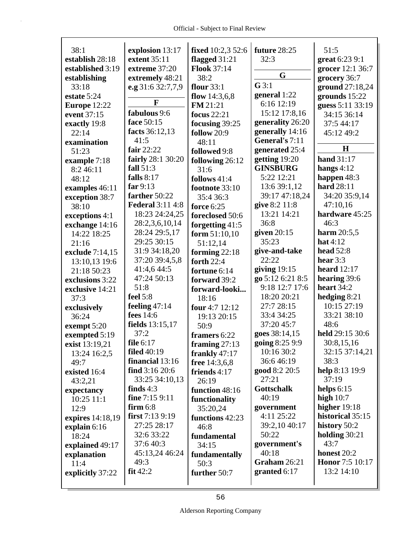| 38:1             | explosion 13:17         | fixed 10:2,3 52:6  | future 28:25      | 51:5                   |
|------------------|-------------------------|--------------------|-------------------|------------------------|
| establish 28:18  | extent 35:11            | flagged 31:21      | 32:3              | great 6:23 9:1         |
| established 3:19 | extreme 37:20           | <b>Flook 37:14</b> |                   | grocer 12:1 36:7       |
| establishing     | extremely 48:21         | 38:2               | G                 | grocery 36:7           |
| 33:18            | e.g 31:6 32:7,7,9       | flour $33:1$       | $G$ 3:1           | ground 27:18,24        |
| estate 5:24      |                         | flow $14:3,6,8$    | general 1:22      | grounds 15:22          |
| Europe 12:22     | F                       | FM 21:21           | 6:16 12:19        | guess 5:11 33:19       |
| event 37:15      | fabulous 9:6            | focus $22:21$      | 15:12 17:8,16     | 34:15 36:14            |
| exactly 19:8     | face 50:15              | focusing 39:25     | generality 26:20  | 37:5 44:17             |
| 22:14            | facts 36:12,13          | follow 20:9        | generally 14:16   | 45:12 49:2             |
| examination      | 41:5                    | 48:11              | General's 7:11    |                        |
| 51:23            | fair $22:22$            | followed 9:8       | generated 25:4    | H                      |
| example 7:18     | fairly 28:1 30:20       | following 26:12    | getting 19:20     | <b>hand</b> 31:17      |
| 8:2 46:11        | fall $51:3$             | 31:6               | <b>GINSBURG</b>   | hangs $4:12$           |
| 48:12            | falls $8:17$            | follows 41:4       | 5:22 12:21        | happen 48:3            |
| examples 46:11   | far $9:13$              | footnote 33:10     | 13:6 39:1,12      | hard 28:11             |
| exception 38:7   | farther 50:22           | 35:4 36:3          | 39:17 47:18,24    | 34:20 35:9,14          |
| 38:10            | <b>Federal 3:11 4:8</b> | force 6:25         | give 8:2 11:8     | 47:10,16               |
| exceptions 4:1   | 18:23 24:24,25          | foreclosed 50:6    | 13:21 14:21       | hardware 45:25         |
| exchange 14:16   | 28:2,3,6,10,14          | forgetting 41:5    | 36:8              | 46:3                   |
| 14:22 18:25      | 28:24 29:5,17           | form $51:10,10$    | given $20:15$     | harm $20:5,5$          |
| 21:16            | 29:25 30:15             | 51:12,14           | 35:23             | hat $4:12$             |
| exclude 7:14,15  | 31:9 34:18,20           | forming $22:18$    | give-and-take     | <b>head</b> 52:8       |
| 13:10,13 19:6    | 37:20 39:4,5,8          | forth 22:4         | 22:22             | hear $3:3$             |
| 21:18 50:23      | 41:4,6 44:5             | fortune 6:14       | giving $19:15$    | heard $12:17$          |
| exclusions 3:22  | 47:24 50:13             | forward 39:2       | go 5:12 6:21 8:5  | hearing 39:6           |
| exclusive 14:21  | 51:8                    | forward-looki      | 9:18 12:7 17:6    | heart $34:2$           |
| 37:3             | feel $5:8$              | 18:16              | 18:20 20:21       | hedging $8:21$         |
| exclusively      | feeling $47:14$         | four 4:7 12:12     | 27:7 28:15        | 10:15 27:19            |
| 36:24            | fees 14:6               | 19:13 20:15        | 33:4 34:25        | 33:21 38:10            |
| exempt 5:20      | fields 13:15,17         | 50:9               | 37:20 45:7        | 48:6                   |
| exempted 5:19    | 37:2                    | framers 6:22       | goes 38:14,15     | held 29:15 30:6        |
| exist 13:19,21   | file 6:17               | framing $27:13$    | going 8:25 9:9    | 30:8,15,16             |
| 13:24 16:2,5     | <b>filed</b> 40:19      | frankly $47:17$    | 10:16 30:2        | 32:15 37:14,21         |
| 49:7             | financial 13:16         | free 14:3,6,8      | 36:646:19         | 38:3                   |
| existed 16:4     | find $3:1620:6$         | friends 4:17       | good 8:2 20:5     | help 8:13 19:9         |
| 43:2,21          | 33:25 34:10,13          | 26:19              | 27:21             | 37:19                  |
| expectancy       | finds $4:3$             | function 48:16     | <b>Gottschalk</b> | helps $6:15$           |
| 10:25 11:1       | fine 7:15 9:11          | functionality      | 40:19             | high $10:7$            |
| 12:9             | $firm 6:8$              | 35:20,24           | government        | higher $19:18$         |
| expires 14:18,19 | first $7:139:19$        | functions 42:23    | 4:11 25:22        | historical 35:15       |
| explain $6:16$   | 27:25 28:17             | 46:8               | 39:2,10 40:17     | history 50:2           |
| 18:24            | 32:6 33:22              | fundamental        | 50:22             | holding $30:21$        |
| explained 49:17  | 37:640:3                | 34:15              | government's      | 43:7                   |
| explanation      | 45:13,24 46:24          | fundamentally      | 40:18             | honest 20:2            |
| 11:4             | 49:3                    | 50:3               | Graham 26:21      | <b>Honor</b> 7:5 10:17 |
| explicitly 37:22 | fit42:2                 | further 50:7       | granted $6:17$    | 13:2 14:10             |
|                  |                         |                    |                   |                        |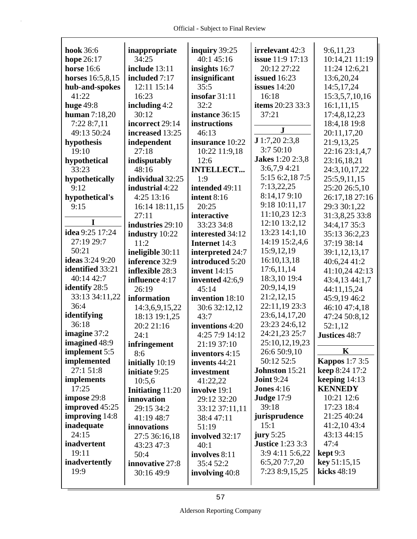| <b>hook</b> 36:6       | inappropriate           | inquiry 39:25       | irrelevant 42:3         | 9:6,11,23             |
|------------------------|-------------------------|---------------------|-------------------------|-----------------------|
| hope 26:17             | 34:25                   | 40:1 45:16          | <b>issue</b> 11:9 17:13 | 10:14,21 11:19        |
| <b>horse</b> 16:6      | include 13:11           | insights 16:7       | 20:12 27:22             | 11:24 12:6,21         |
| horses 16:5,8,15       | included 7:17           | insignificant       | <b>issued</b> 16:23     | 13:6,20,24            |
| hub-and-spokes         | 12:11 15:14             | 35:5                | issues $14:20$          | 14:5,17,24            |
| 41:22                  | 16:23                   | insofar $31:11$     | 16:18                   | 15:3,5,7,10,16        |
| <b>huge</b> 49:8       | including 4:2           | 32:2                | items 20:23 33:3        | 16:1,11,15            |
| human $7:18,20$        | 30:12                   | instance 36:15      | 37:21                   | 17:4,8,12,23          |
| 7:22 8:7,11            | incorrect 29:14         | instructions        | ${\bf J}$               | 18:4,18 19:8          |
| 49:13 50:24            | increased 13:25         | 46:13               |                         | 20:11,17,20           |
| hypothesis             | independent             | insurance 10:22     | J1:7,202:3,8            | 21:9,13,25            |
| 19:10                  | 27:18                   | 10:22 11:9,18       | 3:7 50:10               | 22:16 23:1,4,7        |
| hypothetical           | indisputably            | 12:6                | <b>Jakes</b> 1:20 2:3,8 | 23:16,18,21           |
| 33:23                  | 48:16                   | <b>INTELLECT</b>    | $3:6,7,9$ 4:21          | 24:3,10,17,22         |
| hypothetically         | individual 32:25        | 1:9                 | 5:15 6:2,18 7:5         | 25:5,9,11,15          |
| 9:12                   | industrial 4:22         | intended 49:11      | 7:13,22,25              | 25:20 26:5,10         |
| hypothetical's         | 4:25 13:16              | intent 8:16         | 8:14,179:10             | 26:17,18 27:16        |
| 9:15                   | 16:14 18:11,15          | 20:25               | 9:18 10:11,17           | 29:3 30:1,22          |
| I                      | 27:11                   | interactive         | 11:10,23 12:3           | 31:3,8,25 33:8        |
|                        | industries 29:10        | 33:23 34:8          | 12:10 13:2,12           | 34:4,17 35:3          |
| idea 9:25 17:24        | industry 10:22          | interested 34:12    | 13:23 14:1,10           | 35:13 36:2,23         |
| 27:19 29:7             | 11:2                    | Internet 14:3       | 14:19 15:2,4,6          | 37:19 38:14           |
| 50:21                  | ineligible 30:11        | interpreted 24:7    | 15:9,12,19              | 39:1,12,13,17         |
| <b>ideas</b> 3:24 9:20 | inference 32:9          | introduced 5:20     | 16:10,13,18             | 40:6,24 41:2          |
| identified 33:21       | inflexible 28:3         | <b>invent</b> 14:15 | 17:6,11,14              | 41:10,24 42:13        |
| 40:14 42:7             | influence 4:17          | invented 42:6,9     | 18:3,10 19:4            | 43:4,13 44:1,7        |
| identify 28:5          | 26:19                   | 45:14               | 20:9,14,19              | 44:11,15,24           |
| 33:13 34:11,22         | information             | invention 18:10     | 21:2,12,15              | 45:9,19 46:2          |
| 36:4                   | 14:3,6,9,15,22          | 30:6 32:12,12       | 22:11,19 23:3           | 46:10 47:4,18         |
| identifying            | 18:13 19:1,25           | 43:7                | 23:6, 14, 17, 20        | 47:24 50:8,12         |
| 36:18                  | 20:2 21:16              | inventions 4:20     | 23:23 24:6,12           | 52:1,12               |
| imagine 37:2           | 24:1                    | 4:25 7:9 14:12      | 24:21,23 25:7           | Justices 48:7         |
| imagined 48:9          | infringement            | 21:19 37:10         | 25:10,12,19,23          |                       |
| implement 5:5          | 8:6                     | inventors 4:15      | 26:6 50:9,10            | K                     |
| implemented            | initially 10:19         | invents 44:21       | 50:12 52:5              | <b>Kappos</b> 1:7 3:5 |
| 27:1 51:8              | initiate 9:25           | investment          | Johnston 15:21          | <b>keep</b> 8:24 17:2 |
| <i>implements</i>      | 10:5,6                  | 41:22,22            | <b>Joint 9:24</b>       | keeping $14:13$       |
| 17:25                  | <b>Initiating 11:20</b> | involve 19:1        | <b>Jones</b> $4:16$     | <b>KENNEDY</b>        |
| impose 29:8            | innovation              | 29:12 32:20         | <b>Judge 17:9</b>       | 10:21 12:6            |
| improved 45:25         | 29:15 34:2              | 33:12 37:11,11      | 39:18                   | 17:23 18:4            |
| <b>improving</b> 14:8  | 41:19 48:7              | 38:4 47:11          | jurisprudence           | 21:25 40:24           |
| inadequate             | innovations             | 51:19               | 15:1                    | 41:2,10 43:4          |
| 24:15                  | 27:5 36:16,18           | involved 32:17      | jury $5:25$             | 43:13 44:15           |
| inadvertent            | 43:23 47:3              | 40:1                | <b>Justice</b> 1:23 3:3 | 47:4                  |
| 19:11                  | 50:4                    | involves 8:11       | 3:9 4:11 5:6,22         | $\text{kept } 9:3$    |
| inadvertently          | innovative 27:8         | 35:4 52:2           | 6:5,20 7:7,20           | key 51:15,15          |
| 19:9                   | 30:16 49:9              | involving 40:8      | 7:23 8:9,15,25          | kicks 48:19           |
|                        |                         |                     |                         |                       |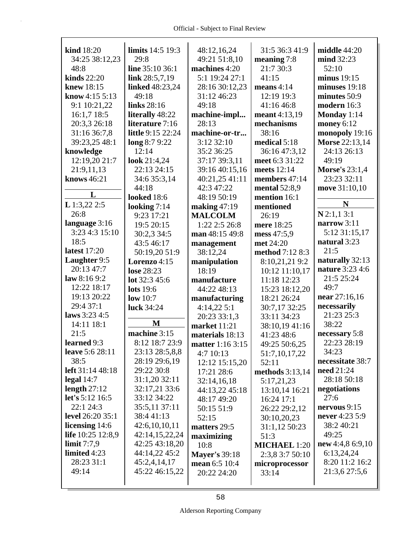$\mathsf{r}$ 

| <b>kind</b> 18:20       | <b>limits</b> 14:5 19:3 | 48:12,16,24          | 31:5 36:3 41:9      | middle 44:20          |
|-------------------------|-------------------------|----------------------|---------------------|-----------------------|
| 34:25 38:12,23          | 29:8                    | 49:21 51:8,10        | meaning 7:8         | mind 32:23            |
| 48:8                    | line 35:10 36:1         | machines 4:20        | 21:7 30:3           | 52:10                 |
| kinds $22:20$           | link $28:5,7,19$        | 5:1 19:24 27:1       | 41:15               | minus $19:15$         |
| knew 18:15              | linked 48:23,24         | 28:16 30:12,23       | means $4:14$        | minuses $19:18$       |
| know 4:15 5:13          | 49:18                   | 31:12 46:23          | 12:19 19:3          | minutes 50:9          |
| 9:1 10:21,22            | links 28:16             | 49:18                | 41:16 46:8          | modern 16:3           |
| 16:1,7 18:5             | literally 48:22         | machine-impl         | meant 4:13,19       | Monday $1:14$         |
| 20:3,3 26:18            | literature 7:16         | 28:13                | mechanisms          | money 6:12            |
| 31:16 36:7,8            | little 9:15 22:24       | machine-or-tr        | 38:16               | monopoly 19:16        |
| 39:23,25 48:1           | long 8:7 9:22           | 3:12 32:10           | medical 5:18        | Morse 22:13,14        |
| knowledge               | 12:14                   | 35:2 36:25           | 36:16 47:3,12       | 24:13 26:13           |
| 12:19,20 21:7           | look 21:4,24            | 37:17 39:3,11        | meet 6:3 31:22      | 49:19                 |
| 21:9,11,13              | 22:13 24:15             | 39:16 40:15,16       | meets 12:14         | <b>Morse's 23:1,4</b> |
| knows 46:21             | 34:6 35:3,14            | 40:21,25 41:11       | members 47:14       | 23:23 32:11           |
|                         | 44:18                   | 42:3 47:22           | mental 52:8,9       | move 31:10,10         |
| L                       | <b>looked</b> 18:6      | 48:19 50:19          | mention 16:1        |                       |
| $L$ 1:3,22 2:5          | looking $7:14$          | making $47:19$       | mentioned           | N                     |
| 26:8                    | 9:23 17:21              | <b>MALCOLM</b>       | 26:19               | $N$ 2:1,13:1          |
| language 3:16           | 19:5 20:15              | $1:22$ $2:5$ $26:8$  | mere 18:25          | narrow 3:11           |
| 3:23 4:3 15:10          | 30:2,3 34:5             | man 48:15 49:8       | mess 47:5,9         | 5:12 31:15,17         |
| 18:5                    | 43:5 46:17              | management           | met 24:20           | natural 3:23          |
| latest 17:20            | 50:19,20 51:9           | 38:12,24             | method 7:12 8:3     | 21:5                  |
| Laughter 9:5            | Lorenzo $4:15$          | manipulation         | 8:10,21,21 9:2      | naturally 32:13       |
| 20:13 47:7              | lose 28:23              | 18:19                | 10:12 11:10,17      | nature 3:23 4:6       |
| law 8:169:2             | lot $32:345:6$          | manufacture          | 11:18 12:23         | 21:5 25:24            |
| 12:22 18:17             | lots 19:6               | 44:22 48:13          | 15:23 18:12,20      | 49:7                  |
| 19:13 20:22             | low $10:7$              | manufacturing        | 18:21 26:24         | near $27:16,16$       |
| 29:4 37:1               | luck 34:24              | 4:14,225:1           | 30:7,17 32:25       | necessarily           |
| laws 3:23 4:5           |                         | 20:23 33:1,3         | 33:11 34:23         | 21:23 25:3            |
| 14:11 18:1              | $\mathbf{M}$            | market 11:21         | 38:10,19 41:16      | 38:22                 |
| 21:5                    | machine 3:15            | materials 18:13      | 41:23 48:6          | necessary 5:8         |
| learned 9:3             | 8:12 18:7 23:9          | matter 1:16 3:15     | 49:25 50:6,25       | 22:23 28:19           |
| <b>leave</b> 5:6 28:11  | 23:13 28:5,8,8          | 4:7 10:13            | 51:7,10,17,22       | 34:23                 |
| 38:5                    | 28:19 29:6,19           | 12:12 15:15,20       | 52:11               | necessitate 38:7      |
| left 31:14 48:18        | 29:22 30:8              | 17:21 28:6           | methods 3:13,14     | need 21:24            |
| legal $14:7$            | 31:1,20 32:11           | 32:14,16,18          | 5:17,21,23          | 28:18 50:18           |
| length $27:12$          | 32:17,21 33:6           | 44:13,22 45:18       | 13:10,14 16:21      | negotiations          |
| let's 5:12 16:5         | 33:12 34:22             | 48:17 49:20          | 16:24 17:1          | 27:6                  |
| 22:1 24:3               | 35:5,11 37:11           | 50:15 51:9           | 26:22 29:2,12       | nervous $9:15$        |
| <b>level</b> 26:20 35:1 | 38:441:13               | 52:15                | 30:10,20,23         | never 4:23 5:9        |
| licensing 14:6          | 42:6,10,10,11           | matters 29:5         | 31:1,12 50:23       | 38:2 40:21            |
| life 10:25 12:8,9       | 42:14,15,22,24          | maximizing           | 51:3                | 49:25                 |
| limit $7:7.9$           | 42:25 43:18,20          | 10:8                 | <b>MICHAEL 1:20</b> | new $4:4,86:9,10$     |
| limited 4:23            | 44:14,22 45:2           | <b>Mayer's 39:18</b> | 2:3,8 3:7 50:10     | 6:13,24,24            |
| 28:23 31:1              | 45:2,4,14,17            | mean 6:5 10:4        | microprocessor      | 8:20 11:2 16:2        |
| 49:14                   | 45:22 46:15,22          | 20:22 24:20          | 33:14               | 21:3,6 27:5,6         |
|                         |                         |                      |                     |                       |
|                         |                         |                      |                     |                       |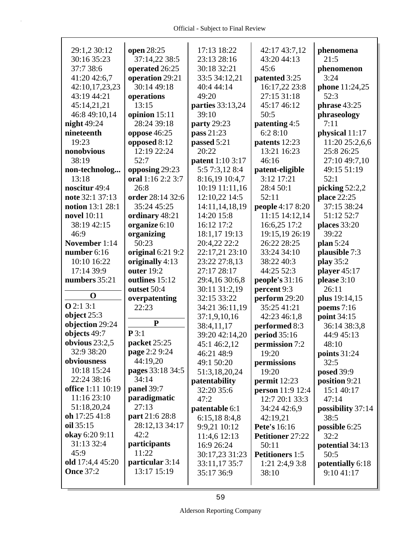| 29:1,2 30:12      | open 28:25        | 17:13 18:22             | 42:17 43:7,12           | phenomena         |
|-------------------|-------------------|-------------------------|-------------------------|-------------------|
| 30:16 35:23       | 37:14,22 38:5     | 23:13 28:16             | 43:20 44:13             | 21:5              |
| 37:7 38:6         | operated 26:25    | 30:18 32:21             | 45:6                    | phenomenon        |
| 41:20 42:6,7      | operation 29:21   | 33:5 34:12,21           | patented 3:25           | 3:24              |
| 42:10,17,23,23    | 30:14 49:18       | 40:4 44:14              | 16:17,22 23:8           | phone 11:24,25    |
| 43:19 44:21       | operations        | 49:20                   | 27:15 31:18             | 52:3              |
| 45:14,21,21       | 13:15             | parties 33:13,24        | 45:17 46:12             | phrase 43:25      |
| 46:8 49:10,14     | opinion 15:11     | 39:10                   | 50:5                    | phraseology       |
| night 49:24       | 28:24 39:18       | <b>party</b> 29:23      | patenting 4:5           | 7:11              |
| nineteenth        | oppose 46:25      | pass 21:23              | 6:28:10                 | physical 11:17    |
| 19:23             | opposed 8:12      | passed 5:21             | patents 12:23           | 11:20 25:2,6,6    |
| nonobvious        | 12:19 22:24       | 20:22                   | 13:21 16:23             | 25:8 26:25        |
| 38:19             | 52:7              | <b>patent</b> 1:10 3:17 | 46:16                   | 27:10 49:7,10     |
| non-technolog     | opposing 29:23    | 5:5 7:3,12 8:4          | patent-eligible         | 49:15 51:19       |
| 13:18             | oral 1:16 2:2 3:7 | 8:16,19 10:4,7          | 3:12 17:21              | 52:1              |
| noscitur 49:4     | 26:8              | 10:19 11:11,16          | 28:4 50:1               | picking $52:2,2$  |
| note 32:1 37:13   | order 28:14 32:6  | 12:10,22 14:5           | 52:11                   | place 22:25       |
| notion 13:1 28:1  | 35:24 45:25       | 14:11,14,18,19          | people 4:17 8:20        | 37:15 38:24       |
| novel 10:11       | ordinary 48:21    | 14:20 15:8              | 11:15 14:12,14          | 51:12 52:7        |
| 38:19 42:15       | organize 6:10     | 16:12 17:2              | 16:6,25 17:2            | places 33:20      |
| 46:9              | organizing        | 18:1,17 19:13           | 19:15,19 26:19          | 39:22             |
| November 1:14     | 50:23             | 20:4,22 22:2            | 26:22 28:25             | plan 5:24         |
| number $6:16$     | original 6:21 9:2 | 22:17,21 23:10          | 33:24 34:10             | plausible 7:3     |
| 10:10 16:22       | originally 4:13   | 23:22 27:8,13           | 38:22 40:3              | play 35:2         |
| 17:14 39:9        | outer 19:2        | 27:17 28:17             | 44:25 52:3              | player 45:17      |
| numbers 35:21     | outlines 15:12    | 29:4,16 30:6,8          | people's $31:16$        | please 3:10       |
|                   | outset 50:4       | 30:11 31:2,19           | percent 9:3             | 26:11             |
| $\mathbf 0$       | overpatenting     | 32:15 33:22             | perform 29:20           | plus 19:14,15     |
| <b>O</b> 2:1 3:1  | 22:23             | 34:21 36:11,19          | 35:25 41:21             | poems $7:16$      |
| object $25:3$     |                   | 37:1,9,10,16            | 42:23 46:1,8            | point 34:15       |
| objection 29:24   | ${\bf P}$         | 38:4,11,17              | performed 8:3           | 36:14 38:3,8      |
| objects 49:7      | P3:1              | 39:20 42:14,20          | period 35:16            | 44:9 45:13        |
| obvious $23:2,5$  | packet 25:25      | 45:1 46:2,12            | permission 7:2          | 48:10             |
| 32:9 38:20        | page 2:2 9:24     | 46:21 48:9              | 19:20                   | points $31:24$    |
| obviousness       | 44:19,20          | 49:1 50:20              | permissions             | 32:5              |
| 10:18 15:24       | pages 33:18 34:5  | 51:3,18,20,24           | 19:20                   | <b>posed</b> 39:9 |
| 22:24 38:16       | 34:14             | patentability           | permit $12:23$          | position 9:21     |
| office 1:11 10:19 | panel 39:7        | 32:20 35:6              | person 11:9 12:4        | 15:1 40:17        |
| 11:16 23:10       | paradigmatic      | 47:2                    | 12:7 20:1 33:3          | 47:14             |
| 51:18,20,24       | 27:13             | patentable 6:1          | 34:24 42:6,9            | possibility 37:14 |
| oh 17:25 41:8     | part 21:6 28:8    | 6:15,188:4,8            | 42:19,21                | 38:5              |
| oil 35:15         | 28:12,13 34:17    | 9:9,21 10:12            | <b>Pete's</b> 16:16     | possible 6:25     |
| okay 6:20 9:11    | 42:2              | 11:4,6 12:13            | <b>Petitioner 27:22</b> | 32:2              |
| 31:13 32:4        | participants      | 16:9 26:24              | 50:11                   | potential 34:13   |
| 45:9              | 11:22             | 30:17,23 31:23          | <b>Petitioners</b> 1:5  | 50:5              |
| old 17:4,4 45:20  | particular 3:14   | 33:11,17 35:7           | $1:21$ 2:4,9 3:8        | potentially 6:18  |
| <b>Once 37:2</b>  | 13:17 15:19       | 35:17 36:9              | 38:10                   | 9:10 41:17        |
|                   |                   |                         |                         |                   |
|                   |                   |                         |                         |                   |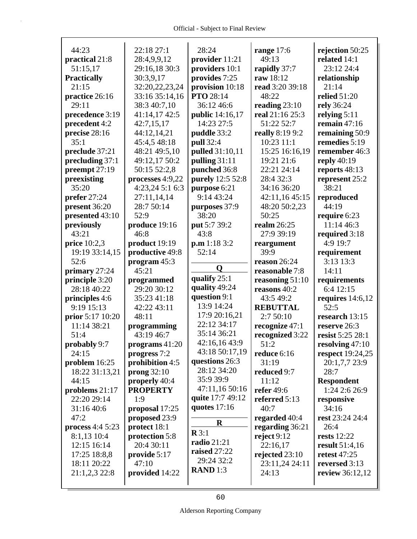| 44:23              |                  |                        |                       |                         |
|--------------------|------------------|------------------------|-----------------------|-------------------------|
|                    | 22:18 27:1       | 28:24                  | range $17:6$<br>49:13 | rejection 50:25         |
| practical 21:8     | 28:4,9,9,12      | provider 11:21         |                       | related 14:1            |
| 51:15,17           | 29:16,18 30:3    | providers 10:1         | rapidly 37:7          | 23:12 24:4              |
| <b>Practically</b> | 30:3,9,17        | provides 7:25          | raw 18:12             | relationship            |
| 21:15              | 32:20,22,23,24   | provision 10:18        | read 3:20 39:18       | 21:14                   |
| practice 26:16     | 33:16 35:14,16   | PTO 28:14              | 48:22                 | <b>relied</b> 51:20     |
| 29:11              | 38:3 40:7,10     | 36:12 46:6             | reading $23:10$       | rely 36:24              |
| precedence 3:19    | 41:14,17 42:5    | <b>public</b> 14:16,17 | real 21:16 25:3       | relying $5:11$          |
| precedent 4:2      | 42:7,15,17       | 14:23 27:5             | 51:22 52:7            | remain $47:16$          |
| precise 28:16      | 44:12,14,21      | puddle 33:2            | really 8:19 9:2       | remaining 50:9          |
| 35:1               | 45:4,5 48:18     | pull 32:4              | 10:23 11:1            | remedies 5:19           |
| preclude 37:21     | 48:21 49:5,10    | pulled 31:10,11        | 15:25 16:16,19        | remember 46:3           |
| precluding 37:1    | 49:12,17 50:2    | pulling 31:11          | 19:21 21:6            | reply $40:19$           |
| preempt 27:19      | 50:15 52:2,8     | punched 36:8           | 22:21 24:14           | reports 48:13           |
| preexisting        | processes 4:9,22 | purely 12:5 52:8       | 28:4 32:3             | represent 25:2          |
| 35:20              | 4:23,24 5:1 6:3  | purpose 6:21           | 34:16 36:20           | 38:21                   |
| prefer 27:24       | 27:11,14,14      | 9:14 43:24             | 42:11,16 45:15        | reproduced              |
| present 36:20      | 28:7 50:14       | purposes 37:9          | 48:20 50:2,23         | 44:19                   |
| presented 43:10    | 52:9             | 38:20                  | 50:25                 | require 6:23            |
| previously         | produce 19:16    | put 5:7 39:2           | realm 26:25           | 11:14 46:3              |
| 43:21              | 46:8             | 43:8                   | 27:9 39:19            | required 3:18           |
| price $10:2,3$     | product 19:19    | p.m 1:18 3:2           | reargument            | 4:9 19:7                |
| 19:19 33:14,15     | productive 49:8  | 52:14                  | 39:9                  | requirement             |
| 52:6               | program $45:3$   |                        | reason $26:24$        | 3:13 13:3               |
|                    |                  |                        |                       |                         |
| primary 27:24      | 45:21            | Q                      | reasonable 7:8        | 14:11                   |
| principle 3:20     | programmed       | qualify 25:1           | reasoning 51:10       | requirements            |
| 28:18 40:22        | 29:20 30:12      | quality 49:24          | reasons 40:2          | 6:4 12:15               |
| principles 4:6     | 35:23 41:18      | question 9:1           | 43:5 49:2             | requires $14:6,12$      |
| 9:19 15:13         | 42:22 43:11      | 13:9 14:24             | <b>REBUTTAL</b>       | 52:5                    |
| prior 5:17 10:20   | 48:11            | 17:9 20:16,21          | 2:7 50:10             | research 13:15          |
| 11:14 38:21        | programming      | 22:12 34:17            | recognize 47:1        | reserve 26:3            |
| 51:4               | 43:19 46:7       | 35:14 36:21            | recognized 3:22       | resist 5:25 28:1        |
| probably 9:7       | programs 41:20   | 42:16,16 43:9          | 51:2                  | resolving 47:10         |
| 24:15              | progress 7:2     | 43:18 50:17,19         | reduce 6:16           | <b>respect</b> 19:24,25 |
| problem 16:25      | prohibition 4:5  | questions 26:3         | 31:19                 | 20:1,7,7 23:9           |
| 18:22 31:13,21     | prong $32:10$    | 28:12 34:20            | reduced 9:7           | 28:7                    |
| 44:15              | properly 40:4    | 35:9 39:9              | 11:12                 | <b>Respondent</b>       |
| problems $21:17$   | <b>PROPERTY</b>  | 47:11,16 50:16         | <b>refer</b> 49:6     | 1:24 2:6 26:9           |
| 22:20 29:14        | 1:9              | quite 17:7 49:12       | referred 5:13         | responsive              |
| 31:16 40:6         | proposal 17:25   | quotes $17:16$         | 40:7                  | 34:16                   |
| 47:2               | proposed 23:9    |                        | regarded 40:4         | rest 23:24 24:4         |
| process 4:4 5:23   | protect 18:1     | $\bf R$                | regarding 36:21       | 26:4                    |
| 8:1,13 10:4        | protection 5:8   | $\mathbf{R} 3:1$       | reject $9:12$         | rests $12:22$           |
| 12:15 16:14        | 20:4 30:11       | <b>radio</b> 21:21     | 22:16,17              | <b>result</b> 51:4,16   |
| 17:25 18:8,8       | provide 5:17     | raised 27:22           | rejected 23:10        | retest 47:25            |
| 18:11 20:22        | 47:10            | 29:24 32:2             | 23:11,24 24:11        | reversed 3:13           |
| 21:1,2,3 22:8      | provided 14:22   | <b>RAND</b> $1:3$      | 24:13                 | review 36:12,12         |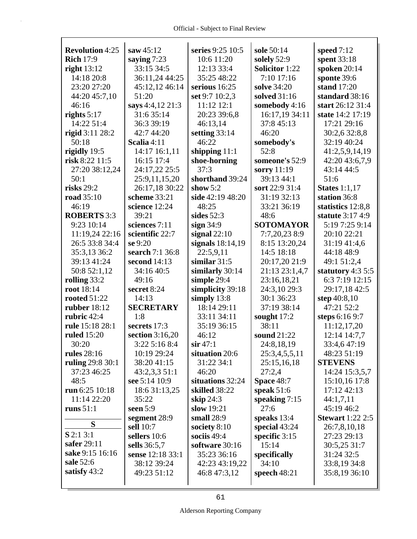| <b>Revolution 4:25</b>         | saw $45:12$                 | series 9:25 10:5 | sole 50:14            | speed 7:12              |
|--------------------------------|-----------------------------|------------------|-----------------------|-------------------------|
| <b>Rich 17:9</b>               | saying $7:23$               | 10:6 11:20       | solely 52:9           | spent 33:18             |
| right $13:12$                  | 33:15 34:5                  | 12:13 33:4       | <b>Solicitor</b> 1:22 | spoken 20:14            |
| 14:18 20:8                     | 36:11,24 44:25              | 35:25 48:22      | 7:10 17:16            | sponte 39:6             |
| 23:20 27:20                    | 45:12,12 46:14              | serious 16:25    | solve 34:20           | stand 17:20             |
| 44:20 45:7,10                  | 51:20                       | set 9:7 10:2,3   | solved 31:16          | standard 38:16          |
| 46:16                          | says 4:4,12 21:3            | 11:12 12:1       | somebody 4:16         | start 26:12 31:4        |
| rights $5:17$                  | 31:6 35:14                  | 20:23 39:6,8     | 16:17,19 34:11        | state 14:2 17:19        |
| 14:22 51:4                     | 36:3 39:19                  | 46:13,14         | 37:8 45:13            | 17:21 29:16             |
| rigid 3:11 28:2                | 42:7 44:20                  | setting $33:14$  | 46:20                 | 30:2,6 32:8,8           |
| 50:18                          | Scalia 4:11                 | 46:22            | somebody's            | 32:19 40:24             |
|                                |                             |                  | 52:8                  | 41:2,5,9,14,19          |
| rigidly 19:5<br>risk 8:22 11:5 | 14:17 16:1,11<br>16:15 17:4 | shipping $11:1$  | someone's 52:9        |                         |
|                                |                             | shoe-horning     |                       | 42:20 43:6,7,9          |
| 27:20 38:12,24                 | 24:17,22 25:5               | 37:3             | sorry 11:19           | 43:14 44:5              |
| 50:1                           | 25:9,11,15,20               | shorthand 39:24  | 39:13 44:1            | 51:6                    |
| risks $29:2$                   | 26:17,18 30:22              | show $5:2$       | sort 22:9 31:4        | States $1:1,17$         |
| <b>road</b> 35:10              | scheme 33:21                | side 42:19 48:20 | 31:19 32:13           | station 36:8            |
| 46:19                          | science 12:24               | 48:25            | 33:21 36:19           | statistics 12:8,8       |
| <b>ROBERTS</b> 3:3             | 39:21                       | sides $52:3$     | 48:6                  | statute 3:17 4:9        |
| 9:23 10:14                     | sciences 7:11               | sign 34:9        | <b>SOTOMAYOR</b>      | 5:19 7:25 9:14          |
| 11:19,24 22:16                 | scientific 22:7             | signal $22:10$   | 7:7,20,23 8:9         | 20:10 22:21             |
| 26:5 33:8 34:4                 | se 9:20                     | signals 18:14,19 | 8:15 13:20,24         | 31:19 41:4,6            |
| 35:3,13 36:2                   | search 7:1 36:8             | 22:5,9,11        | 14:5 18:18            | 44:18 48:9              |
| 39:13 41:24                    | second $14:13$              | similar $31:5$   | 20:17,20 21:9         | 49:1 51:2,4             |
| 50:8 52:1,12                   | 34:16 40:5                  | similarly 30:14  | 21:13 23:1,4,7        | statutory 4:3 5:5       |
| rolling $33:2$                 | 49:16                       | simple 29:4      | 23:16,18,21           | 6:3 7:19 12:15          |
| root 18:14                     | secret 8:24                 | simplicity 39:18 | 24:3,10 29:3          | 29:17,18 42:5           |
| <b>rooted 51:22</b>            | 14:13                       | simply $13:8$    | 30:1 36:23            | step 40:8,10            |
| rubber $18:12$                 | <b>SECRETARY</b>            | 18:14 29:11      | 37:19 38:14           | 47:21 52:2              |
| rubric 42:4                    | 1:8                         | 33:11 34:11      | sought $17:2$         | steps 6:16 9:7          |
| rule 15:18 28:1                | secrets 17:3                | 35:19 36:15      | 38:11                 | 11:12,17,20             |
| <b>ruled</b> 15:20             | section $3:16,20$           | 46:12            | sound 21:22           | 12:14 14:7,7            |
| 30:20                          | 3:22 5:16 8:4               | $\sin 47:1$      | 24:8,18,19            | 33:4,647:19             |
| <b>rules</b> 28:16             | 10:19 29:24                 | situation 20:6   | 25:3,4,5,5,11         | 48:23 51:19             |
| ruling 29:8 30:1               | 38:20 41:15                 | 31:22 34:1       | 25:15,16,18           | <b>STEVENS</b>          |
| 37:23 46:25                    | 43:2,3,351:1                | 46:20            | 27:2,4                | 14:24 15:3,5,7          |
| 48:5                           | see 5:14 10:9               | situations 32:24 | Space 48:7            | 15:10,16 17:8           |
| run $6:25$ 10:18               | 18:6 31:13,25               | skilled 38:22    | speak $51:6$          | 17:12 42:13             |
| 11:14 22:20                    | 35:22                       | skip $24:3$      | speaking $7:15$       | 44:1,7,11               |
| runs $51:1$                    | seen $5:9$                  | slow 19:21       | 27:6                  | 45:19 46:2              |
|                                | segment 28:9                | small 28:9       | speaks $13:4$         | <b>Stewart</b> 1:22 2:5 |
| S                              | sell 10:7                   | society 8:10     | special $43:24$       | 26:7,8,10,18            |
| $S$ 2:1 3:1                    | sellers 10:6                | sociis 49:4      | specific $3:15$       | 27:23 29:13             |
| safer 29:11                    | sells 36:5,7                | software 30:16   | 15:14                 | 30:5,25 31:7            |
| sake 9:15 16:16                | sense 12:18 33:1            | 35:23 36:16      | specifically          | 31:24 32:5              |
| sale 52:6                      | 38:12 39:24                 | 42:23 43:19,22   | 34:10                 | 33:8,19 34:8            |
| satisfy $43:2$                 | 49:23 51:12                 | 46:8 47:3,12     | speech 48:21          | 35:8,19 36:10           |
|                                |                             |                  |                       |                         |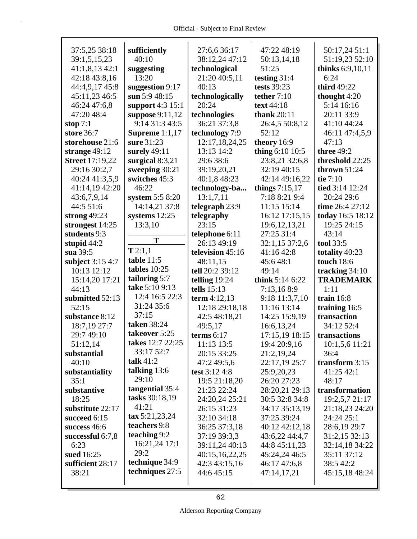| 37:5,25 38:18             | sufficiently                             | 27:6,6 36:17                | 47:22 48:19                 | 50:17,24 51:1               |
|---------------------------|------------------------------------------|-----------------------------|-----------------------------|-----------------------------|
| 39:1,5,15,23              | 40:10                                    | 38:12,24 47:12              | 50:13,14,18                 | 51:19,23 52:10              |
| 41:1,8,1342:1             | suggesting                               | technological               | 51:25                       | thinks 6:9,10,11            |
| 42:18 43:8,16             | 13:20                                    | 21:20 40:5,11               | testing $31:4$              | 6:24                        |
| 44:4,9,17 45:8            | suggestion 9:17                          | 40:13                       | tests 39:23                 | third 49:22                 |
| 45:11,23 46:5             | sun $5:948:15$                           | technologically             | tether $7:10$               | thought 4:20                |
| 46:24 47:6,8              | support 4:3 15:1                         | 20:24                       | text 44:18                  | 5:14 16:16                  |
| 47:20 48:4                | suppose $9:11,12$                        | technologies                | thank $20:11$               | 20:11 33:9                  |
| stop $7:1$                | 9:14 31:3 43:5                           | 36:21 37:3,8                | 26:4,5 50:8,12              | 41:10 44:24                 |
| store 36:7                | Supreme $1:1,17$                         | technology 7:9              | 52:12                       | 46:11 47:4,5,9              |
| storehouse 21:6           | sure 31:23                               | 12:17,18,24,25              | theory $16:9$               | 47:13                       |
| strange $49:12$           | surely $49:11$                           | 13:13 14:2                  | thing $6:1010:5$            | <b>three 49:2</b>           |
| <b>Street 17:19,22</b>    | surgical $8:3,21$                        | 29:6 38:6                   | 23:8,21 32:6,8              | threshold 22:25             |
| 29:16 30:2,7              | sweeping 30:21                           | 39:19,20,21                 | 32:19 40:15                 | thrown $51:24$              |
| 40:24 41:3,5,9            | switches 45:3                            | 40:1,8 48:23                | 42:14 49:16,22              | tie 7:10                    |
| 41:14,19 42:20            | 46:22                                    | technology-ba               | things $7:15,17$            | tied 3:14 12:24             |
| 43:6,7,9,14               | system 5:5 8:20                          | 13:1,7,11                   | 7:18 8:21 9:4               | 20:24 29:6                  |
| 44:5 51:6                 | 14:14,21 37:8                            | telegraph 23:9              | 11:15 15:14                 | time 26:4 27:12             |
| strong $49:23$            | systems $12:25$                          | telegraphy                  | 16:12 17:15,15              | today 16:5 18:12            |
| strongest 14:25           | 13:3,10                                  | 23:15                       | 19:6, 12, 13, 21            | 19:25 24:15                 |
| students 9:3              |                                          | telephone 6:11              | 27:25 31:4                  | 43:14                       |
| stupid $44:2$             | Т                                        | 26:13 49:19                 | 32:1,15 37:2,6              | tool 33:5                   |
| sua 39:5                  | T2:1,1                                   | television 45:16            | 41:16 42:8                  | totality 40:23              |
| subject 3:15 4:7          | table $11:5$                             | 48:11,15                    | 45:648:1                    | <b>touch</b> 18:6           |
|                           |                                          |                             |                             |                             |
|                           |                                          |                             |                             |                             |
| 10:13 12:12               | tables $10:25$                           | tell 20:2 39:12             | 49:14                       | tracking 34:10              |
| 15:14,20 17:21            | tailoring 5:7                            | telling $19:24$             | think $5:146:22$            | <b>TRADEMARK</b>            |
| 44:13                     | take 5:10 9:13                           | tells $15:13$               | 7:13,168:9                  | 1:11                        |
| submitted 52:13           | 12:4 16:5 22:3                           | term $4:12,13$              | 9:18 11:3,7,10              | train $16:8$                |
| 52:15                     | 31:24 35:6<br>37:15                      | 12:18 29:18,18              | 11:16 13:14                 | training 16:5               |
| substance 8:12            | taken 38:24                              | 42:5 48:18,21               | 14:25 15:9,19               | transaction                 |
| 18:7,19 27:7              | takeover 5:25                            | 49:5,17                     | 16:6,13,24                  | 34:12 52:4                  |
| 29:7 49:10                | takes 12:7 22:25                         | terms $6:17$                | 17:15,19 18:15              | transactions                |
| 51:12,14                  | 33:17 52:7                               | 11:13 13:5                  | 19:4 20:9,16                | 10:1,5,6 11:21              |
| substantial               | talk $41:2$                              | 20:15 33:25                 | 21:2,19,24                  | 36:4                        |
| 40:10                     | talking $13:6$                           | 47:2 49:5,6                 | 22:17,19 25:7               | transform 3:15              |
| substantiality            | 29:10                                    | test $3:12\,4:8$            | 25:9,20,23                  | 41:25 42:1                  |
| 35:1                      | tangential 35:4                          | 19:5 21:18,20               | 26:20 27:23                 | 48:17                       |
| substantive               |                                          | 21:23 22:24                 | 28:20,21 29:13              | transformation              |
| 18:25                     | tasks 30:18,19<br>41:21                  | 24:20,24 25:21              | 30:5 32:8 34:8              | 19:2,5,7 21:17              |
| substitute 22:17          |                                          | 26:15 31:23                 | 34:17 35:13,19              | 21:18,23 24:20              |
| succeed 6:15              | $\text{tax } 5:21,23,24$<br>teachers 9:8 | 32:10 34:18                 | 37:25 39:24                 | 24:24 25:1                  |
| success 46:6              | teaching $9:2$                           | 36:25 37:3,18               | 40:12 42:12,18              | 28:6,19 29:7                |
| successful 6:7,8          | 16:21,24 17:1                            | 37:19 39:3,3                | 43:6,22 44:4,7              | 31:2,15 32:13               |
| 6:23                      | 29:2                                     | 39:11,24 40:13              | 44:8 45:11,23               | 32:14,18 34:22              |
| sued 16:25                | technique 34:9                           | 40:15,16,22,25              | 45:24,24 46:5               | 35:11 37:12                 |
| sufficient 28:17<br>38:21 | techniques 27:5                          | 42:3 43:15,16<br>44:6 45:15 | 46:17 47:6,8<br>47:14,17,21 | 38:5 42:2<br>45:15,18 48:24 |